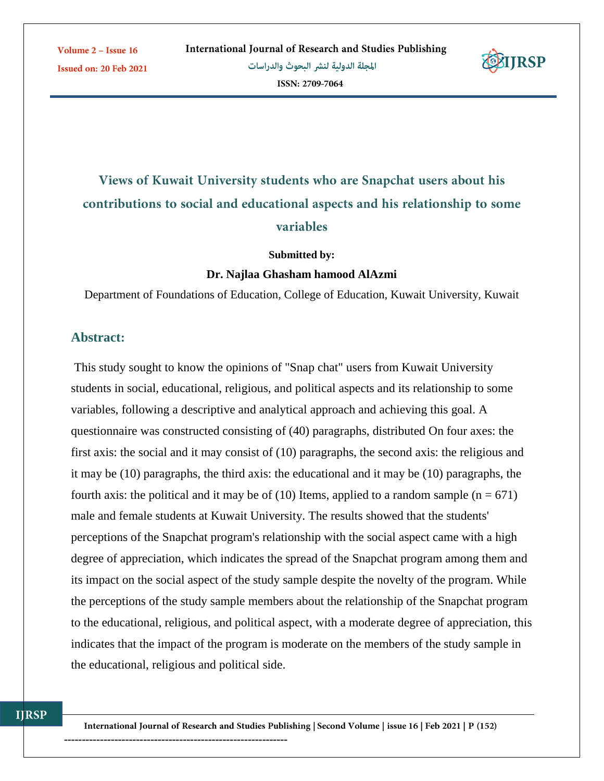

# Views of Kuwait University students who are Snapchat users about his contributions to social and educational aspects and his relationship to some **variables**

#### **Submitted by:**

#### **Dr. Najlaa Ghasham hamood AlAzmi**

Department of Foundations of Education, College of Education, Kuwait University, Kuwait

## **Abstract:**

**IJRSP** 

This study sought to know the opinions of "Snap chat" users from Kuwait University students in social, educational, religious, and political aspects and its relationship to some variables, following a descriptive and analytical approach and achieving this goal. A questionnaire was constructed consisting of (40) paragraphs, distributed On four axes: the first axis: the social and it may consist of (10) paragraphs, the second axis: the religious and it may be (10) paragraphs, the third axis: the educational and it may be (10) paragraphs, the fourth axis: the political and it may be of (10) Items, applied to a random sample ( $n = 671$ ) male and female students at Kuwait University. The results showed that the students' perceptions of the Snapchat program's relationship with the social aspect came with a high degree of appreciation, which indicates the spread of the Snapchat program among them and its impact on the social aspect of the study sample despite the novelty of the program. While the perceptions of the study sample members about the relationship of the Snapchat program to the educational, religious, and political aspect, with a moderate degree of appreciation, this indicates that the impact of the program is moderate on the members of the study sample in the educational, religious and political side.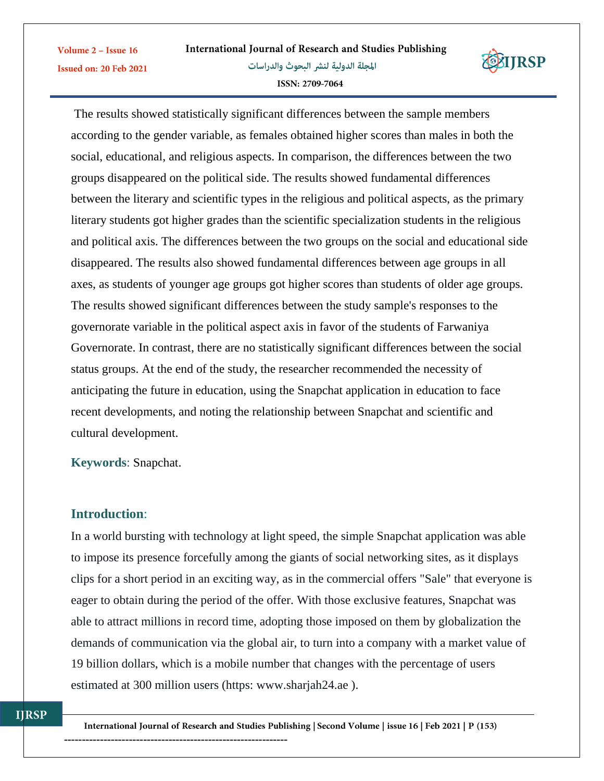

The results showed statistically significant differences between the sample members according to the gender variable, as females obtained higher scores than males in both the social, educational, and religious aspects. In comparison, the differences between the two groups disappeared on the political side. The results showed fundamental differences between the literary and scientific types in the religious and political aspects, as the primary literary students got higher grades than the scientific specialization students in the religious and political axis. The differences between the two groups on the social and educational side disappeared. The results also showed fundamental differences between age groups in all axes, as students of younger age groups got higher scores than students of older age groups. The results showed significant differences between the study sample's responses to the governorate variable in the political aspect axis in favor of the students of Farwaniya Governorate. In contrast, there are no statistically significant differences between the social status groups. At the end of the study, the researcher recommended the necessity of anticipating the future in education, using the Snapchat application in education to face recent developments, and noting the relationship between Snapchat and scientific and cultural development.

**Keywords**: Snapchat.

#### **Introduction**:

**IJRSP** 

Volume 2 - Issue 16

**Issued on: 20 Feb 2021** 

In a world bursting with technology at light speed, the simple Snapchat application was able to impose its presence forcefully among the giants of social networking sites, as it displays clips for a short period in an exciting way, as in the commercial offers "Sale" that everyone is eager to obtain during the period of the offer. With those exclusive features, Snapchat was able to attract millions in record time, adopting those imposed on them by globalization the demands of communication via the global air, to turn into a company with a market value of 19 billion dollars, which is a mobile number that changes with the percentage of users estimated at 300 million users (https: www.sharjah24.ae ).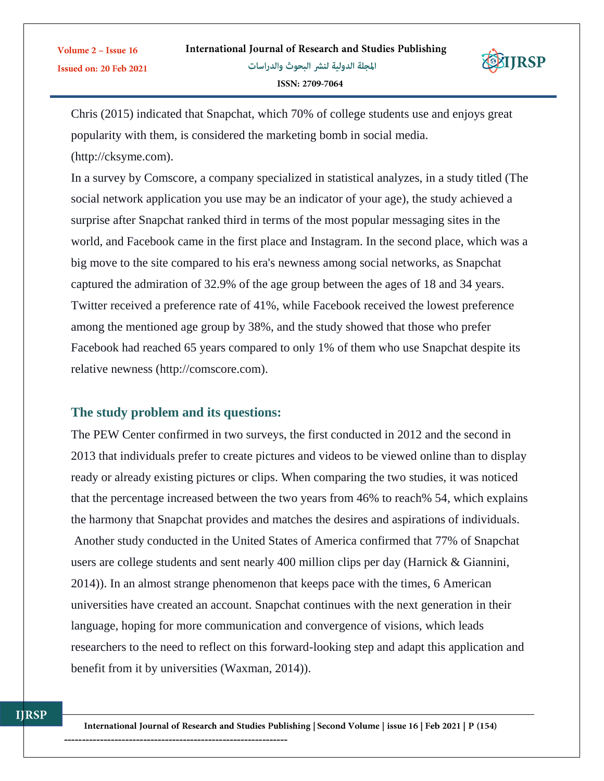

Chris (2015) indicated that Snapchat, which 70% of college students use and enjoys great popularity with them, is considered the marketing bomb in social media. (http://cksyme.com).

In a survey by Comscore, a company specialized in statistical analyzes, in a study titled (The social network application you use may be an indicator of your age), the study achieved a surprise after Snapchat ranked third in terms of the most popular messaging sites in the world, and Facebook came in the first place and Instagram. In the second place, which was a big move to the site compared to his era's newness among social networks, as Snapchat captured the admiration of 32.9% of the age group between the ages of 18 and 34 years. Twitter received a preference rate of 41%, while Facebook received the lowest preference among the mentioned age group by 38%, and the study showed that those who prefer Facebook had reached 65 years compared to only 1% of them who use Snapchat despite its relative newness (http://comscore.com).

# **The study problem and its questions:**

The PEW Center confirmed in two surveys, the first conducted in 2012 and the second in 2013 that individuals prefer to create pictures and videos to be viewed online than to display ready or already existing pictures or clips. When comparing the two studies, it was noticed that the percentage increased between the two years from 46% to reach% 54, which explains the harmony that Snapchat provides and matches the desires and aspirations of individuals. Another study conducted in the United States of America confirmed that 77% of Snapchat users are college students and sent nearly 400 million clips per day (Harnick & Giannini, 2014)). In an almost strange phenomenon that keeps pace with the times, 6 American universities have created an account. Snapchat continues with the next generation in their language, hoping for more communication and convergence of visions, which leads researchers to the need to reflect on this forward-looking step and adapt this application and benefit from it by universities (Waxman, 2014)).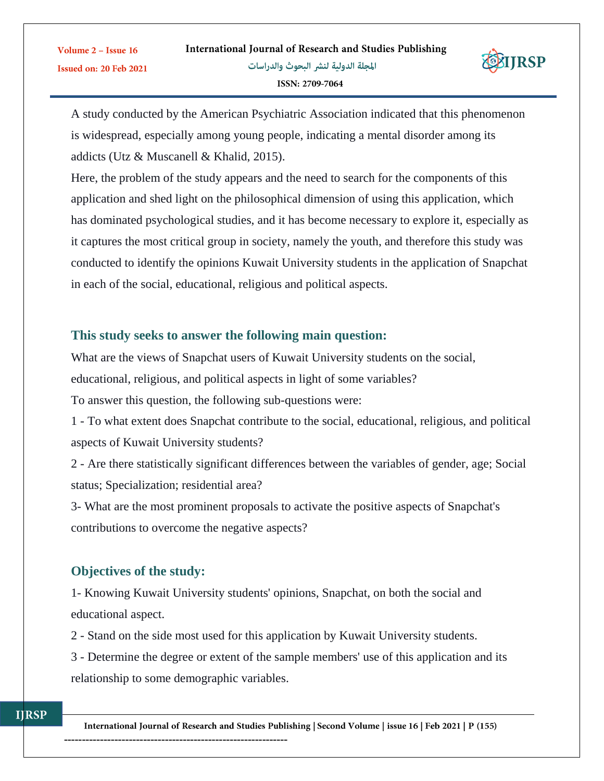

A study conducted by the American Psychiatric Association indicated that this phenomenon is widespread, especially among young people, indicating a mental disorder among its addicts (Utz & Muscanell & Khalid, 2015).

Here, the problem of the study appears and the need to search for the components of this application and shed light on the philosophical dimension of using this application, which has dominated psychological studies, and it has become necessary to explore it, especially as it captures the most critical group in society, namely the youth, and therefore this study was conducted to identify the opinions Kuwait University students in the application of Snapchat in each of the social, educational, religious and political aspects.

## **This study seeks to answer the following main question:**

What are the views of Snapchat users of Kuwait University students on the social, educational, religious, and political aspects in light of some variables? To answer this question, the following sub-questions were:

1 - To what extent does Snapchat contribute to the social, educational, religious, and political aspects of Kuwait University students?

2 - Are there statistically significant differences between the variables of gender, age; Social status; Specialization; residential area?

3- What are the most prominent proposals to activate the positive aspects of Snapchat's contributions to overcome the negative aspects?

# **Objectives of the study:**

Volume 2 - Issue 16

**Issued on: 20 Feb 2021** 

1- Knowing Kuwait University students' opinions, Snapchat, on both the social and educational aspect.

2 - Stand on the side most used for this application by Kuwait University students.

3 - Determine the degree or extent of the sample members' use of this application and its relationship to some demographic variables.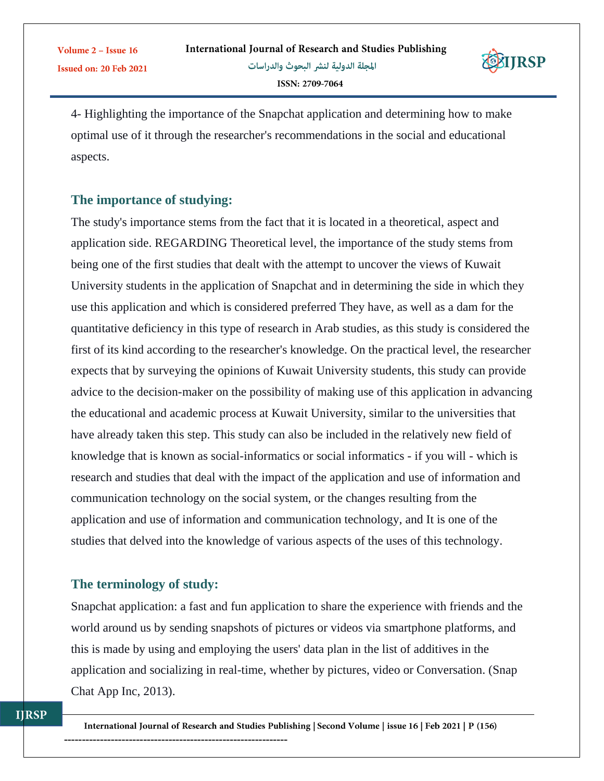

4- Highlighting the importance of the Snapchat application and determining how to make optimal use of it through the researcher's recommendations in the social and educational aspects.

## **The importance of studying:**

Volume 2 - Issue 16

**Issued on: 20 Feb 2021** 

The study's importance stems from the fact that it is located in a theoretical, aspect and application side. REGARDING Theoretical level, the importance of the study stems from being one of the first studies that dealt with the attempt to uncover the views of Kuwait University students in the application of Snapchat and in determining the side in which they use this application and which is considered preferred They have, as well as a dam for the quantitative deficiency in this type of research in Arab studies, as this study is considered the first of its kind according to the researcher's knowledge. On the practical level, the researcher expects that by surveying the opinions of Kuwait University students, this study can provide advice to the decision-maker on the possibility of making use of this application in advancing the educational and academic process at Kuwait University, similar to the universities that have already taken this step. This study can also be included in the relatively new field of knowledge that is known as social-informatics or social informatics - if you will - which is research and studies that deal with the impact of the application and use of information and communication technology on the social system, or the changes resulting from the application and use of information and communication technology, and It is one of the studies that delved into the knowledge of various aspects of the uses of this technology.

## **The terminology of study:**

**IJRSP** 

Snapchat application: a fast and fun application to share the experience with friends and the world around us by sending snapshots of pictures or videos via smartphone platforms, and this is made by using and employing the users' data plan in the list of additives in the application and socializing in real-time, whether by pictures, video or Conversation. (Snap Chat App Inc, 2013).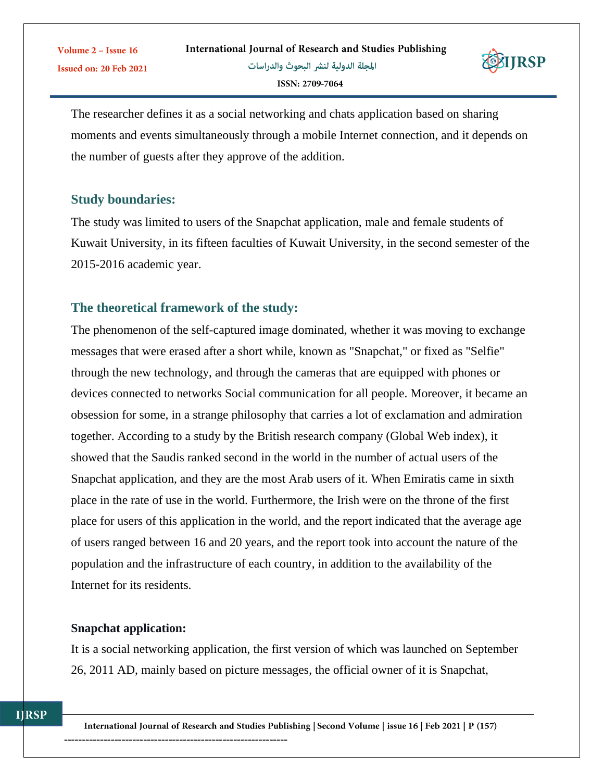

The researcher defines it as a social networking and chats application based on sharing moments and events simultaneously through a mobile Internet connection, and it depends on the number of guests after they approve of the addition.

## **Study boundaries:**

Volume 2 - Issue 16

**Issued on: 20 Feb 2021** 

The study was limited to users of the Snapchat application, male and female students of Kuwait University, in its fifteen faculties of Kuwait University, in the second semester of the 2015-2016 academic year.

## **The theoretical framework of the study:**

The phenomenon of the self-captured image dominated, whether it was moving to exchange messages that were erased after a short while, known as "Snapchat," or fixed as "Selfie" through the new technology, and through the cameras that are equipped with phones or devices connected to networks Social communication for all people. Moreover, it became an obsession for some, in a strange philosophy that carries a lot of exclamation and admiration together. According to a study by the British research company (Global Web index), it showed that the Saudis ranked second in the world in the number of actual users of the Snapchat application, and they are the most Arab users of it. When Emiratis came in sixth place in the rate of use in the world. Furthermore, the Irish were on the throne of the first place for users of this application in the world, and the report indicated that the average age of users ranged between 16 and 20 years, and the report took into account the nature of the population and the infrastructure of each country, in addition to the availability of the Internet for its residents.

#### **Snapchat application:**

It is a social networking application, the first version of which was launched on September 26, 2011 AD, mainly based on picture messages, the official owner of it is Snapchat,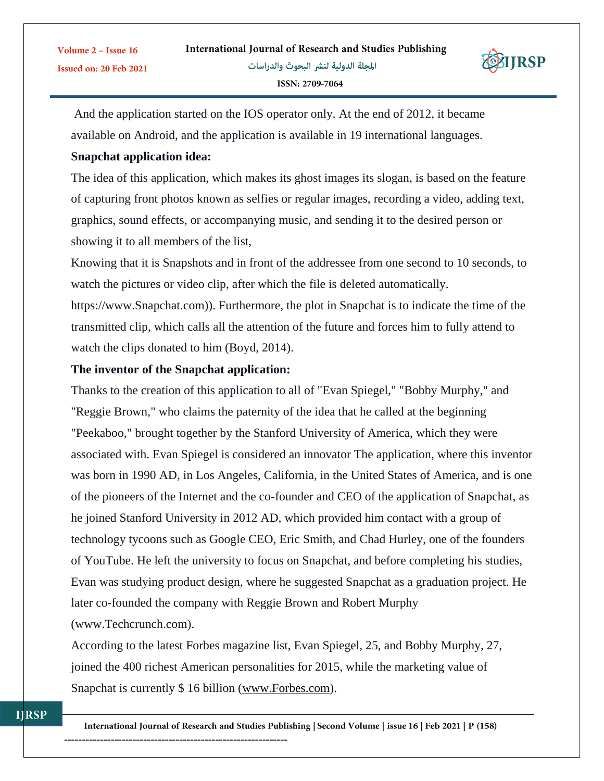

And the application started on the IOS operator only. At the end of 2012, it became available on Android, and the application is available in 19 international languages.

#### **Snapchat application idea:**

Volume 2 - Issue 16

**Issued on: 20 Feb 2021** 

The idea of this application, which makes its ghost images its slogan, is based on the feature of capturing front photos known as selfies or regular images, recording a video, adding text, graphics, sound effects, or accompanying music, and sending it to the desired person or showing it to all members of the list,

Knowing that it is Snapshots and in front of the addressee from one second to 10 seconds, to watch the pictures or video clip, after which the file is deleted automatically. https://www.Snapchat.com)). Furthermore, the plot in Snapchat is to indicate the time of the transmitted clip, which calls all the attention of the future and forces him to fully attend to watch the clips donated to him (Boyd, 2014).

#### **The inventor of the Snapchat application:**

Thanks to the creation of this application to all of "Evan Spiegel," "Bobby Murphy," and "Reggie Brown," who claims the paternity of the idea that he called at the beginning "Peekaboo," brought together by the Stanford University of America, which they were associated with. Evan Spiegel is considered an innovator The application, where this inventor was born in 1990 AD, in Los Angeles, California, in the United States of America, and is one of the pioneers of the Internet and the co-founder and CEO of the application of Snapchat, as he joined Stanford University in 2012 AD, which provided him contact with a group of technology tycoons such as Google CEO, Eric Smith, and Chad Hurley, one of the founders of YouTube. He left the university to focus on Snapchat, and before completing his studies, Evan was studying product design, where he suggested Snapchat as a graduation project. He later co-founded the company with Reggie Brown and Robert Murphy

(www.Techcrunch.com).

According to the latest Forbes magazine list, Evan Spiegel, 25, and Bobby Murphy, 27, joined the 400 richest American personalities for 2015, while the marketing value of Snapchat is currently \$ 16 billion [\(www.Forbes.com\)](http://www.forbes.com/).

International Journal of Research and Studies Publishing | Second Volume | issue 16 | Feb 2021 | P (158) --------------------------------------------------------------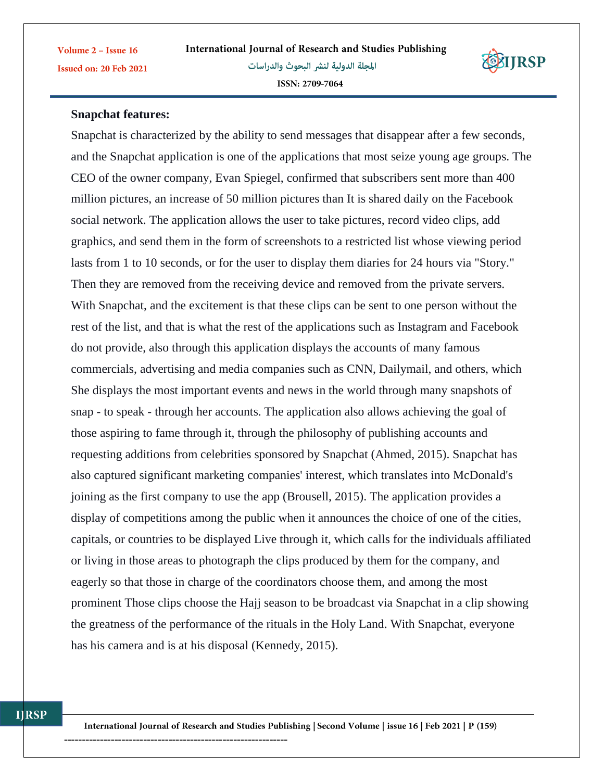

#### **Snapchat features:**

Snapchat is characterized by the ability to send messages that disappear after a few seconds, and the Snapchat application is one of the applications that most seize young age groups. The CEO of the owner company, Evan Spiegel, confirmed that subscribers sent more than 400 million pictures, an increase of 50 million pictures than It is shared daily on the Facebook social network. The application allows the user to take pictures, record video clips, add graphics, and send them in the form of screenshots to a restricted list whose viewing period lasts from 1 to 10 seconds, or for the user to display them diaries for 24 hours via "Story." Then they are removed from the receiving device and removed from the private servers. With Snapchat, and the excitement is that these clips can be sent to one person without the rest of the list, and that is what the rest of the applications such as Instagram and Facebook do not provide, also through this application displays the accounts of many famous commercials, advertising and media companies such as CNN, Dailymail, and others, which She displays the most important events and news in the world through many snapshots of snap - to speak - through her accounts. The application also allows achieving the goal of those aspiring to fame through it, through the philosophy of publishing accounts and requesting additions from celebrities sponsored by Snapchat (Ahmed, 2015). Snapchat has also captured significant marketing companies' interest, which translates into McDonald's joining as the first company to use the app (Brousell, 2015). The application provides a display of competitions among the public when it announces the choice of one of the cities, capitals, or countries to be displayed Live through it, which calls for the individuals affiliated or living in those areas to photograph the clips produced by them for the company, and eagerly so that those in charge of the coordinators choose them, and among the most prominent Those clips choose the Hajj season to be broadcast via Snapchat in a clip showing the greatness of the performance of the rituals in the Holy Land. With Snapchat, everyone has his camera and is at his disposal (Kennedy, 2015).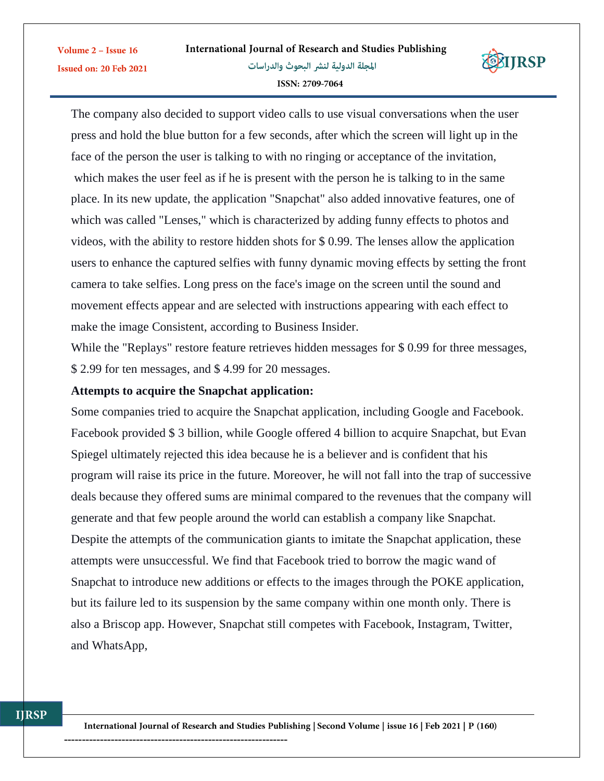

The company also decided to support video calls to use visual conversations when the user press and hold the blue button for a few seconds, after which the screen will light up in the face of the person the user is talking to with no ringing or acceptance of the invitation, which makes the user feel as if he is present with the person he is talking to in the same place. In its new update, the application "Snapchat" also added innovative features, one of which was called "Lenses," which is characterized by adding funny effects to photos and videos, with the ability to restore hidden shots for \$ 0.99. The lenses allow the application users to enhance the captured selfies with funny dynamic moving effects by setting the front camera to take selfies. Long press on the face's image on the screen until the sound and movement effects appear and are selected with instructions appearing with each effect to make the image Consistent, according to Business Insider.

While the "Replays" restore feature retrieves hidden messages for \$ 0.99 for three messages, \$ 2.99 for ten messages, and \$ 4.99 for 20 messages.

#### **Attempts to acquire the Snapchat application:**

Volume 2 - Issue 16

**Issued on: 20 Feb 2021** 

Some companies tried to acquire the Snapchat application, including Google and Facebook. Facebook provided \$ 3 billion, while Google offered 4 billion to acquire Snapchat, but Evan Spiegel ultimately rejected this idea because he is a believer and is confident that his program will raise its price in the future. Moreover, he will not fall into the trap of successive deals because they offered sums are minimal compared to the revenues that the company will generate and that few people around the world can establish a company like Snapchat. Despite the attempts of the communication giants to imitate the Snapchat application, these attempts were unsuccessful. We find that Facebook tried to borrow the magic wand of Snapchat to introduce new additions or effects to the images through the POKE application, but its failure led to its suspension by the same company within one month only. There is also a Briscop app. However, Snapchat still competes with Facebook, Instagram, Twitter, and WhatsApp,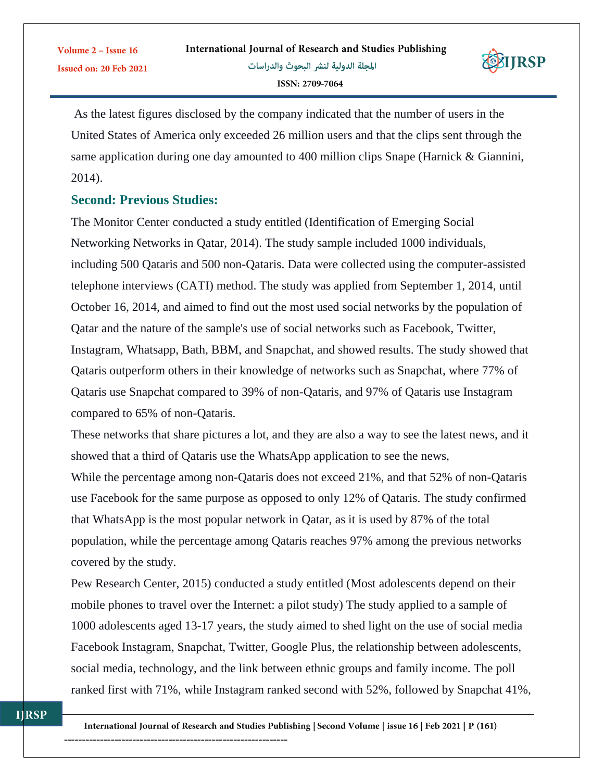

As the latest figures disclosed by the company indicated that the number of users in the United States of America only exceeded 26 million users and that the clips sent through the same application during one day amounted to 400 million clips Snape (Harnick & Giannini,

#### 2014).

Volume 2 - Issue 16

**Issued on: 20 Feb 2021** 

## **Second: Previous Studies:**

The Monitor Center conducted a study entitled (Identification of Emerging Social Networking Networks in Qatar, 2014). The study sample included 1000 individuals, including 500 Qataris and 500 non-Qataris. Data were collected using the computer-assisted telephone interviews (CATI) method. The study was applied from September 1, 2014, until October 16, 2014, and aimed to find out the most used social networks by the population of Qatar and the nature of the sample's use of social networks such as Facebook, Twitter, Instagram, Whatsapp, Bath, BBM, and Snapchat, and showed results. The study showed that Qataris outperform others in their knowledge of networks such as Snapchat, where 77% of Qataris use Snapchat compared to 39% of non-Qataris, and 97% of Qataris use Instagram compared to 65% of non-Qataris.

These networks that share pictures a lot, and they are also a way to see the latest news, and it showed that a third of Qataris use the WhatsApp application to see the news,

While the percentage among non-Qataris does not exceed 21%, and that 52% of non-Qataris use Facebook for the same purpose as opposed to only 12% of Qataris. The study confirmed that WhatsApp is the most popular network in Qatar, as it is used by 87% of the total population, while the percentage among Qataris reaches 97% among the previous networks covered by the study.

Pew Research Center, 2015) conducted a study entitled (Most adolescents depend on their mobile phones to travel over the Internet: a pilot study) The study applied to a sample of 1000 adolescents aged 13-17 years, the study aimed to shed light on the use of social media Facebook Instagram, Snapchat, Twitter, Google Plus, the relationship between adolescents, social media, technology, and the link between ethnic groups and family income. The poll ranked first with 71%, while Instagram ranked second with 52%, followed by Snapchat 41%,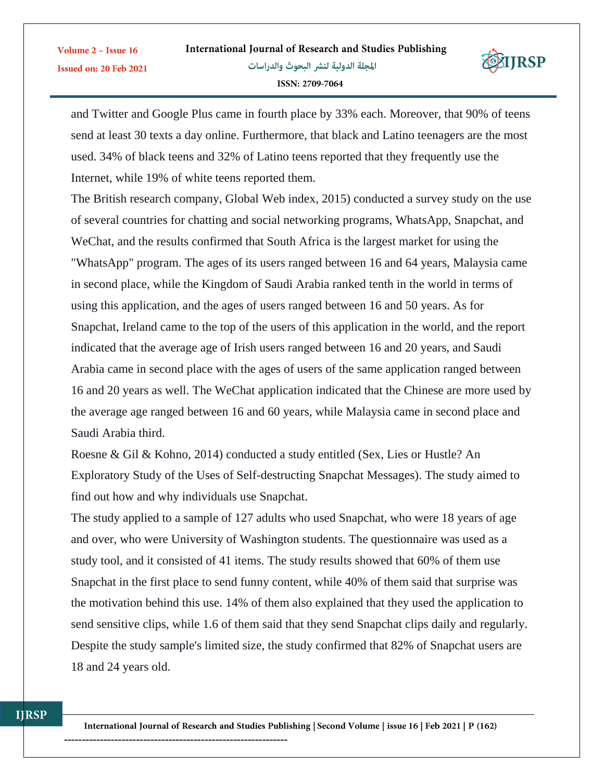

and Twitter and Google Plus came in fourth place by 33% each. Moreover, that 90% of teens send at least 30 texts a day online. Furthermore, that black and Latino teenagers are the most used. 34% of black teens and 32% of Latino teens reported that they frequently use the Internet, while 19% of white teens reported them.

The British research company, Global Web index, 2015) conducted a survey study on the use of several countries for chatting and social networking programs, WhatsApp, Snapchat, and WeChat, and the results confirmed that South Africa is the largest market for using the "WhatsApp" program. The ages of its users ranged between 16 and 64 years, Malaysia came in second place, while the Kingdom of Saudi Arabia ranked tenth in the world in terms of using this application, and the ages of users ranged between 16 and 50 years. As for Snapchat, Ireland came to the top of the users of this application in the world, and the report indicated that the average age of Irish users ranged between 16 and 20 years, and Saudi Arabia came in second place with the ages of users of the same application ranged between 16 and 20 years as well. The WeChat application indicated that the Chinese are more used by the average age ranged between 16 and 60 years, while Malaysia came in second place and Saudi Arabia third.

Roesne & Gil & Kohno, 2014) conducted a study entitled (Sex, Lies or Hustle? An Exploratory Study of the Uses of Self-destructing Snapchat Messages). The study aimed to find out how and why individuals use Snapchat.

The study applied to a sample of 127 adults who used Snapchat, who were 18 years of age and over, who were University of Washington students. The questionnaire was used as a study tool, and it consisted of 41 items. The study results showed that 60% of them use Snapchat in the first place to send funny content, while 40% of them said that surprise was the motivation behind this use. 14% of them also explained that they used the application to send sensitive clips, while 1.6 of them said that they send Snapchat clips daily and regularly. Despite the study sample's limited size, the study confirmed that 82% of Snapchat users are 18 and 24 years old.

International Journal of Research and Studies Publishing | Second Volume | issue 16 | Feb 2021 | P (162) --------------------------------------------------------------

**IJRSP** 

Volume 2 - Issue 16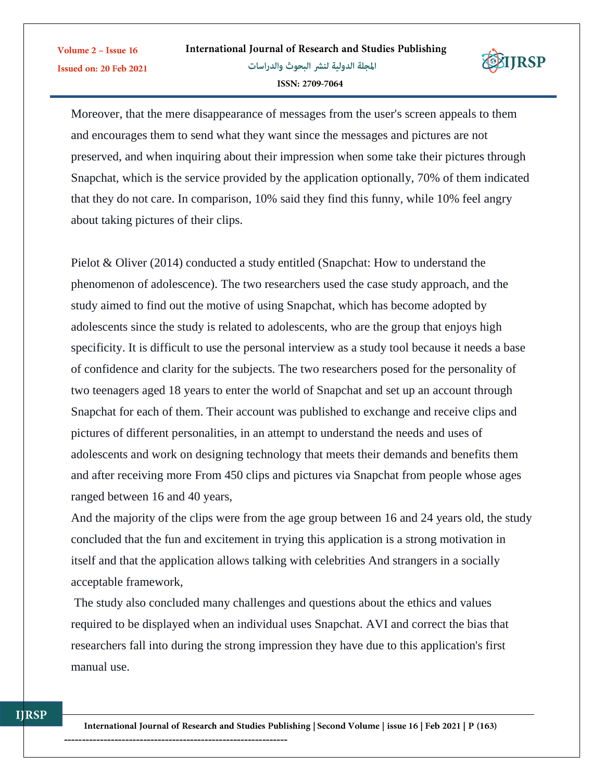

Moreover, that the mere disappearance of messages from the user's screen appeals to them and encourages them to send what they want since the messages and pictures are not preserved, and when inquiring about their impression when some take their pictures through Snapchat, which is the service provided by the application optionally, 70% of them indicated that they do not care. In comparison, 10% said they find this funny, while 10% feel angry about taking pictures of their clips.

Pielot & Oliver (2014) conducted a study entitled (Snapchat: How to understand the phenomenon of adolescence). The two researchers used the case study approach, and the study aimed to find out the motive of using Snapchat, which has become adopted by adolescents since the study is related to adolescents, who are the group that enjoys high specificity. It is difficult to use the personal interview as a study tool because it needs a base of confidence and clarity for the subjects. The two researchers posed for the personality of two teenagers aged 18 years to enter the world of Snapchat and set up an account through Snapchat for each of them. Their account was published to exchange and receive clips and pictures of different personalities, in an attempt to understand the needs and uses of adolescents and work on designing technology that meets their demands and benefits them and after receiving more From 450 clips and pictures via Snapchat from people whose ages ranged between 16 and 40 years,

And the majority of the clips were from the age group between 16 and 24 years old, the study concluded that the fun and excitement in trying this application is a strong motivation in itself and that the application allows talking with celebrities And strangers in a socially acceptable framework,

The study also concluded many challenges and questions about the ethics and values required to be displayed when an individual uses Snapchat. AVI and correct the bias that researchers fall into during the strong impression they have due to this application's first manual use.

Volume 2 - Issue 16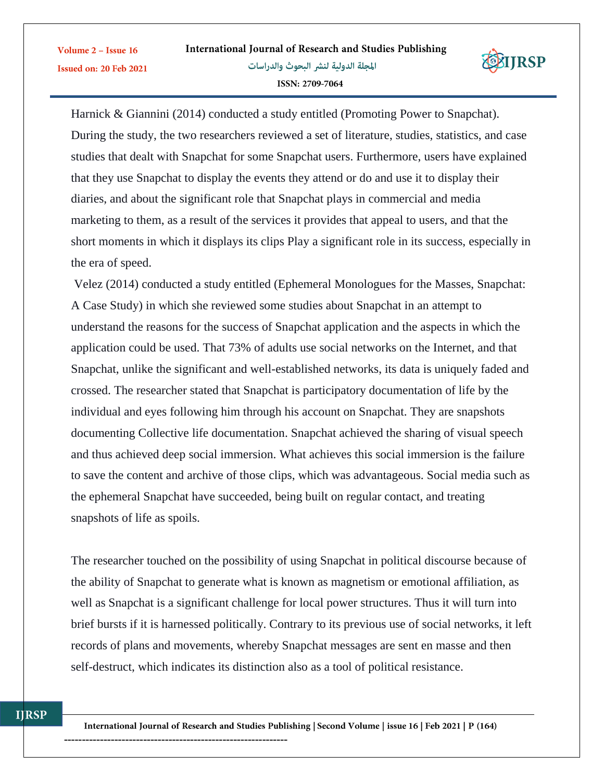

Harnick & Giannini (2014) conducted a study entitled (Promoting Power to Snapchat). During the study, the two researchers reviewed a set of literature, studies, statistics, and case studies that dealt with Snapchat for some Snapchat users. Furthermore, users have explained that they use Snapchat to display the events they attend or do and use it to display their diaries, and about the significant role that Snapchat plays in commercial and media marketing to them, as a result of the services it provides that appeal to users, and that the short moments in which it displays its clips Play a significant role in its success, especially in the era of speed.

Velez (2014) conducted a study entitled (Ephemeral Monologues for the Masses, Snapchat: A Case Study) in which she reviewed some studies about Snapchat in an attempt to understand the reasons for the success of Snapchat application and the aspects in which the application could be used. That 73% of adults use social networks on the Internet, and that Snapchat, unlike the significant and well-established networks, its data is uniquely faded and crossed. The researcher stated that Snapchat is participatory documentation of life by the individual and eyes following him through his account on Snapchat. They are snapshots documenting Collective life documentation. Snapchat achieved the sharing of visual speech and thus achieved deep social immersion. What achieves this social immersion is the failure to save the content and archive of those clips, which was advantageous. Social media such as the ephemeral Snapchat have succeeded, being built on regular contact, and treating snapshots of life as spoils.

The researcher touched on the possibility of using Snapchat in political discourse because of the ability of Snapchat to generate what is known as magnetism or emotional affiliation, as well as Snapchat is a significant challenge for local power structures. Thus it will turn into brief bursts if it is harnessed politically. Contrary to its previous use of social networks, it left records of plans and movements, whereby Snapchat messages are sent en masse and then self-destruct, which indicates its distinction also as a tool of political resistance.

Volume 2 - Issue 16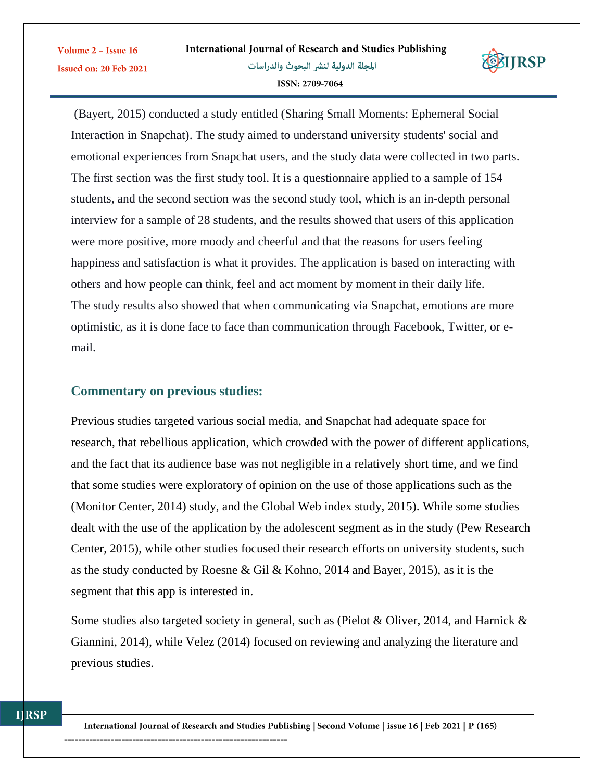

(Bayert, 2015) conducted a study entitled (Sharing Small Moments: Ephemeral Social Interaction in Snapchat). The study aimed to understand university students' social and emotional experiences from Snapchat users, and the study data were collected in two parts. The first section was the first study tool. It is a questionnaire applied to a sample of 154 students, and the second section was the second study tool, which is an in-depth personal interview for a sample of 28 students, and the results showed that users of this application were more positive, more moody and cheerful and that the reasons for users feeling happiness and satisfaction is what it provides. The application is based on interacting with others and how people can think, feel and act moment by moment in their daily life. The study results also showed that when communicating via Snapchat, emotions are more optimistic, as it is done face to face than communication through Facebook, Twitter, or email.

## **Commentary on previous studies:**

Volume 2 - Issue 16

**Issued on: 20 Feb 2021** 

Previous studies targeted various social media, and Snapchat had adequate space for research, that rebellious application, which crowded with the power of different applications, and the fact that its audience base was not negligible in a relatively short time, and we find that some studies were exploratory of opinion on the use of those applications such as the (Monitor Center, 2014) study, and the Global Web index study, 2015). While some studies dealt with the use of the application by the adolescent segment as in the study (Pew Research Center, 2015), while other studies focused their research efforts on university students, such as the study conducted by Roesne & Gil & Kohno, 2014 and Bayer, 2015), as it is the segment that this app is interested in.

Some studies also targeted society in general, such as (Pielot & Oliver, 2014, and Harnick & Giannini, 2014), while Velez (2014) focused on reviewing and analyzing the literature and previous studies.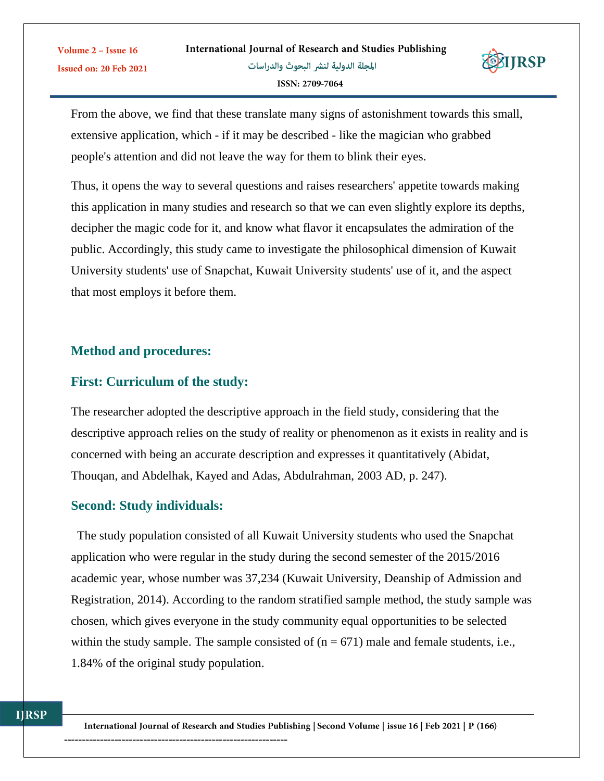

From the above, we find that these translate many signs of astonishment towards this small, extensive application, which - if it may be described - like the magician who grabbed people's attention and did not leave the way for them to blink their eyes.

Thus, it opens the way to several questions and raises researchers' appetite towards making this application in many studies and research so that we can even slightly explore its depths, decipher the magic code for it, and know what flavor it encapsulates the admiration of the public. Accordingly, this study came to investigate the philosophical dimension of Kuwait University students' use of Snapchat, Kuwait University students' use of it, and the aspect that most employs it before them.

## **Method and procedures:**

Volume 2 - Issue 16

Issued on: 20 Feb 2021

## **First: Curriculum of the study:**

The researcher adopted the descriptive approach in the field study, considering that the descriptive approach relies on the study of reality or phenomenon as it exists in reality and is concerned with being an accurate description and expresses it quantitatively (Abidat, Thouqan, and Abdelhak, Kayed and Adas, Abdulrahman, 2003 AD, p. 247).

#### **Second: Study individuals:**

**IJRSP** 

 The study population consisted of all Kuwait University students who used the Snapchat application who were regular in the study during the second semester of the 2015/2016 academic year, whose number was 37,234 (Kuwait University, Deanship of Admission and Registration, 2014). According to the random stratified sample method, the study sample was chosen, which gives everyone in the study community equal opportunities to be selected within the study sample. The sample consisted of  $(n = 671)$  male and female students, i.e., 1.84% of the original study population.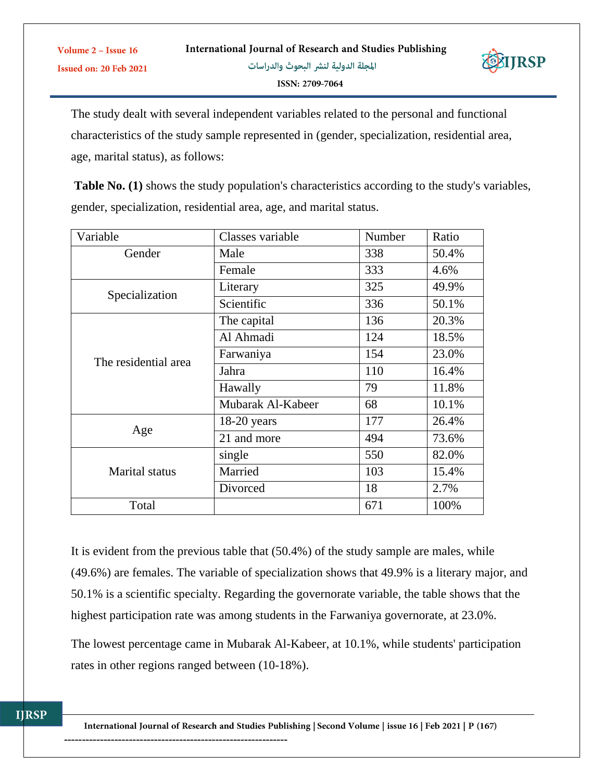

The study dealt with several independent variables related to the personal and functional characteristics of the study sample represented in (gender, specialization, residential area, age, marital status), as follows:

**Table No. (1)** shows the study population's characteristics according to the study's variables, gender, specialization, residential area, age, and marital status.

| Variable              | Classes variable  | Number | Ratio |
|-----------------------|-------------------|--------|-------|
| Gender                | Male              | 338    | 50.4% |
|                       | Female            | 333    | 4.6%  |
| Specialization        | Literary          | 325    | 49.9% |
|                       | Scientific        | 336    | 50.1% |
|                       | The capital       | 136    | 20.3% |
|                       | Al Ahmadi         | 124    | 18.5% |
| The residential area  | Farwaniya         | 154    | 23.0% |
|                       | Jahra             | 110    | 16.4% |
|                       | Hawally           | 79     | 11.8% |
|                       | Mubarak Al-Kabeer | 68     | 10.1% |
|                       | $18-20$ years     | 177    | 26.4% |
| Age                   | 21 and more       | 494    | 73.6% |
|                       | single            | 550    | 82.0% |
| <b>Marital</b> status | Married           | 103    | 15.4% |
|                       | Divorced          | 18     | 2.7%  |
| Total                 |                   | 671    | 100%  |

It is evident from the previous table that (50.4%) of the study sample are males, while (49.6%) are females. The variable of specialization shows that 49.9% is a literary major, and 50.1% is a scientific specialty. Regarding the governorate variable, the table shows that the highest participation rate was among students in the Farwaniya governorate, at 23.0%.

The lowest percentage came in Mubarak Al-Kabeer, at 10.1%, while students' participation rates in other regions ranged between (10-18%).

Volume 2 - Issue 16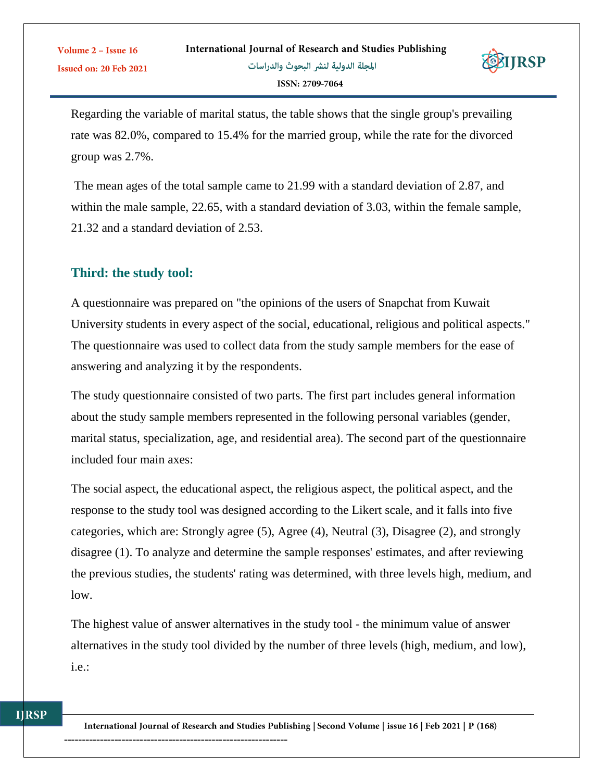

Regarding the variable of marital status, the table shows that the single group's prevailing rate was 82.0%, compared to 15.4% for the married group, while the rate for the divorced group was 2.7%.

The mean ages of the total sample came to 21.99 with a standard deviation of 2.87, and within the male sample, 22.65, with a standard deviation of 3.03, within the female sample, 21.32 and a standard deviation of 2.53.

# **Third: the study tool:**

Volume 2 - Issue 16

Issued on: 20 Feb 2021

A questionnaire was prepared on "the opinions of the users of Snapchat from Kuwait University students in every aspect of the social, educational, religious and political aspects." The questionnaire was used to collect data from the study sample members for the ease of answering and analyzing it by the respondents.

The study questionnaire consisted of two parts. The first part includes general information about the study sample members represented in the following personal variables (gender, marital status, specialization, age, and residential area). The second part of the questionnaire included four main axes:

The social aspect, the educational aspect, the religious aspect, the political aspect, and the response to the study tool was designed according to the Likert scale, and it falls into five categories, which are: Strongly agree (5), Agree (4), Neutral (3), Disagree (2), and strongly disagree (1). To analyze and determine the sample responses' estimates, and after reviewing the previous studies, the students' rating was determined, with three levels high, medium, and low.

The highest value of answer alternatives in the study tool - the minimum value of answer alternatives in the study tool divided by the number of three levels (high, medium, and low), i.e.:

International Journal of Research and Studies Publishing | Second Volume | issue 16 | Feb 2021 | P (168) --------------------------------------------------------------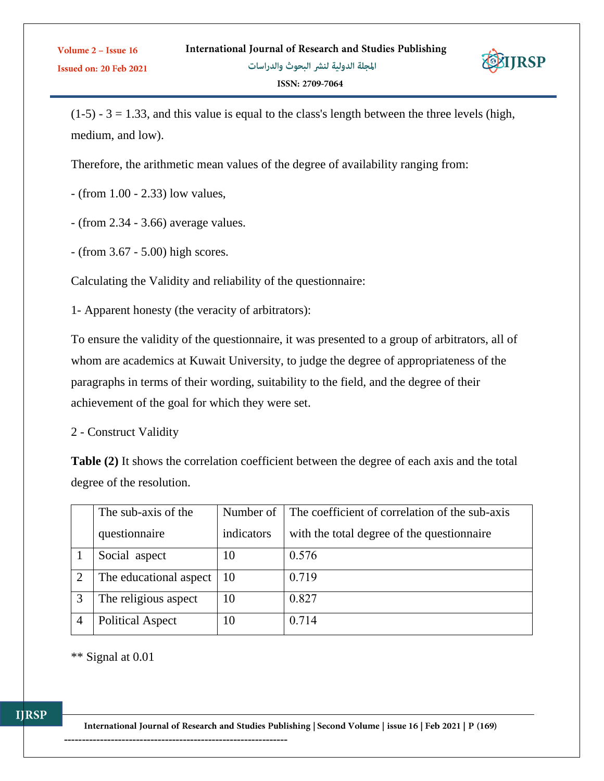ISSN: 2709-7064



 $(1-5)$  - 3 = 1.33, and this value is equal to the class's length between the three levels (high, medium, and low).

Therefore, the arithmetic mean values of the degree of availability ranging from:

- (from 1.00 - 2.33) low values,

- (from 2.34 - 3.66) average values.

- (from 3.67 - 5.00) high scores.

Calculating the Validity and reliability of the questionnaire:

1- Apparent honesty (the veracity of arbitrators):

To ensure the validity of the questionnaire, it was presented to a group of arbitrators, all of whom are academics at Kuwait University, to judge the degree of appropriateness of the paragraphs in terms of their wording, suitability to the field, and the degree of their achievement of the goal for which they were set.

2 - Construct Validity

**Table (2)** It shows the correlation coefficient between the degree of each axis and the total degree of the resolution.

|                | The sub-axis of the     | Number of  | The coefficient of correlation of the sub-axis |
|----------------|-------------------------|------------|------------------------------------------------|
|                | questionnaire           | indicators | with the total degree of the question aire     |
|                | Social aspect           | 10         | 0.576                                          |
| $\overline{2}$ | The educational aspect  | 10         | 0.719                                          |
| 3              | The religious aspect    | 10         | 0.827                                          |
|                | <b>Political Aspect</b> | 10         | 0.714                                          |

\*\* Signal at 0.01

**IJRSP** 

International Journal of Research and Studies Publishing | Second Volume | issue 16 | Feb 2021 | P (169)

--------------------------------------------------------------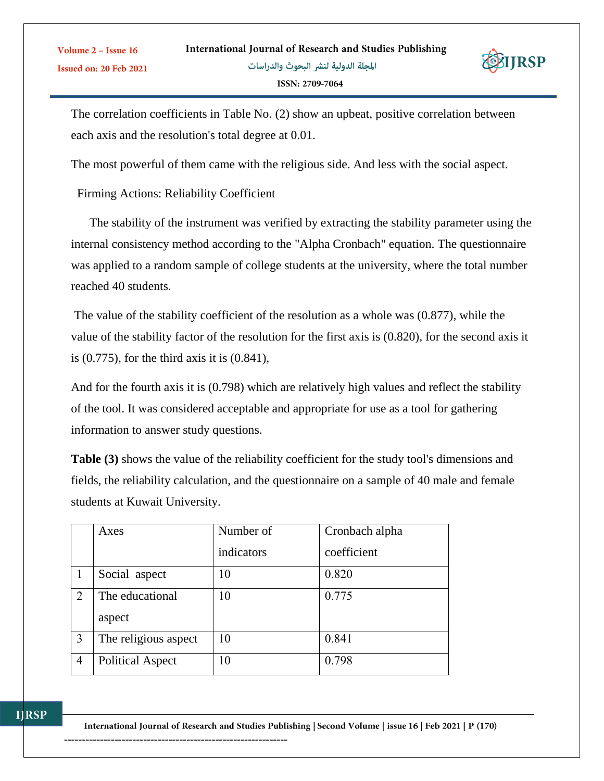The correlation coefficients in Table No. (2) show an upbeat, positive correlation between each axis and the resolution's total degree at 0.01.

The most powerful of them came with the religious side. And less with the social aspect.

Firming Actions: Reliability Coefficient

Volume 2 - Issue 16

Issued on: 20 Feb 2021

 The stability of the instrument was verified by extracting the stability parameter using the internal consistency method according to the "Alpha Cronbach" equation. The questionnaire was applied to a random sample of college students at the university, where the total number reached 40 students.

The value of the stability coefficient of the resolution as a whole was (0.877), while the value of the stability factor of the resolution for the first axis is (0.820), for the second axis it is (0.775), for the third axis it is (0.841),

And for the fourth axis it is (0.798) which are relatively high values and reflect the stability of the tool. It was considered acceptable and appropriate for use as a tool for gathering information to answer study questions.

**Table (3)** shows the value of the reliability coefficient for the study tool's dimensions and fields, the reliability calculation, and the questionnaire on a sample of 40 male and female students at Kuwait University.

|                | Axes                    | Number of  | Cronbach alpha |
|----------------|-------------------------|------------|----------------|
|                |                         | indicators | coefficient    |
|                | Social aspect           | 10         | 0.820          |
| 2              | The educational         | 10         | 0.775          |
|                | aspect                  |            |                |
| 3              | The religious aspect    | 10         | 0.841          |
| $\overline{4}$ | <b>Political Aspect</b> | 10         | 0.798          |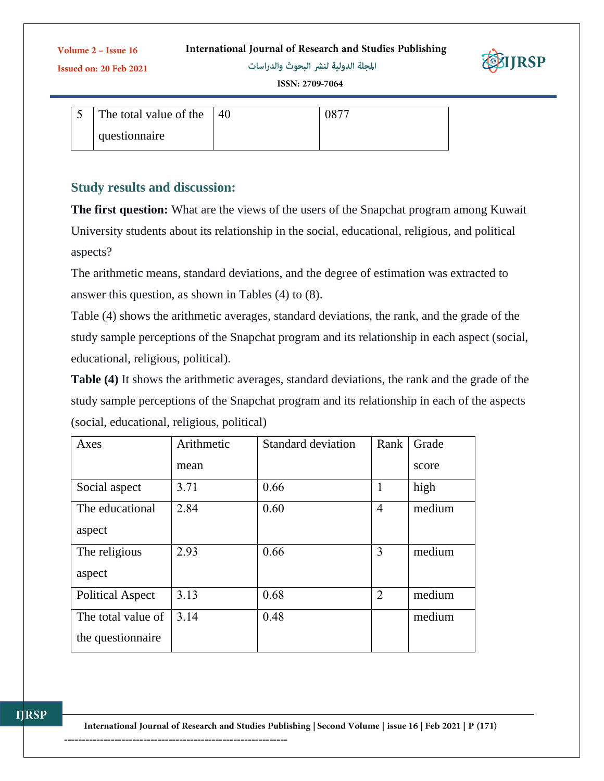International Journal of Research and Studies Publishing

Volume 2 - Issue 16 Issued on: 20 Feb 2021

المجلة الدولية لنشر البحوث والدراسات



ISSN: 2709-7064

| The total value of the | $\vert 40 \vert$ |  |
|------------------------|------------------|--|
| questionnaire          |                  |  |

## **Study results and discussion:**

**The first question:** What are the views of the users of the Snapchat program among Kuwait University students about its relationship in the social, educational, religious, and political aspects?

The arithmetic means, standard deviations, and the degree of estimation was extracted to answer this question, as shown in Tables (4) to (8).

Table (4) shows the arithmetic averages, standard deviations, the rank, and the grade of the study sample perceptions of the Snapchat program and its relationship in each aspect (social, educational, religious, political).

**Table (4)** It shows the arithmetic averages, standard deviations, the rank and the grade of the study sample perceptions of the Snapchat program and its relationship in each of the aspects (social, educational, religious, political)

| Axes                    | Arithmetic | <b>Standard deviation</b> | Rank           | Grade  |
|-------------------------|------------|---------------------------|----------------|--------|
|                         | mean       |                           |                | score  |
| Social aspect           | 3.71       | 0.66                      |                | high   |
| The educational         | 2.84       | 0.60                      | $\overline{4}$ | medium |
| aspect                  |            |                           |                |        |
| The religious           | 2.93       | 0.66                      | 3              | medium |
| aspect                  |            |                           |                |        |
| <b>Political Aspect</b> | 3.13       | 0.68                      | $\overline{2}$ | medium |
| The total value of      | 3.14       | 0.48                      |                | medium |
| the question aire       |            |                           |                |        |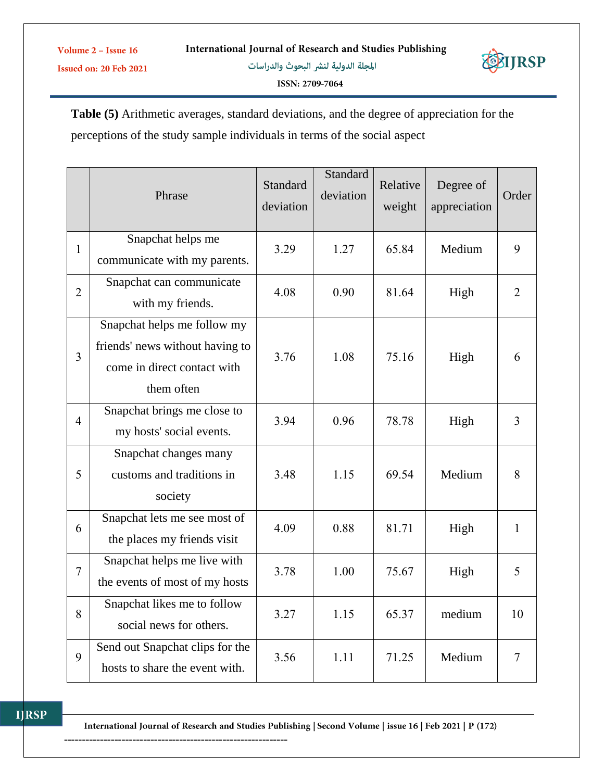

**Table (5)** Arithmetic averages, standard deviations, and the degree of appreciation for the perceptions of the study sample individuals in terms of the social aspect

|                | Phrase                                                                                                      | <b>Standard</b><br>deviation | Standard<br>deviation | Relative<br>weight | Degree of<br>appreciation | Order          |
|----------------|-------------------------------------------------------------------------------------------------------------|------------------------------|-----------------------|--------------------|---------------------------|----------------|
| $\mathbf{1}$   | Snapchat helps me<br>communicate with my parents.                                                           | 3.29                         | 1.27                  | 65.84              | Medium                    | 9              |
| $\overline{2}$ | Snapchat can communicate<br>with my friends.                                                                | 4.08                         | 0.90                  | 81.64              | High                      | $\overline{2}$ |
| $\overline{3}$ | Snapchat helps me follow my<br>friends' news without having to<br>come in direct contact with<br>them often | 3.76                         | 1.08                  | 75.16              | High                      | 6              |
| $\overline{4}$ | Snapchat brings me close to<br>my hosts' social events.                                                     | 3.94                         | 0.96                  | 78.78              | High                      | $\overline{3}$ |
| 5              | Snapchat changes many<br>customs and traditions in<br>society                                               | 3.48                         | 1.15                  | 69.54              | Medium                    | 8              |
| 6              | Snapchat lets me see most of<br>the places my friends visit                                                 | 4.09                         | 0.88                  | 81.71              | High                      | $\mathbf{1}$   |
| $\overline{7}$ | Snapchat helps me live with<br>the events of most of my hosts                                               | 3.78                         | 1.00                  | 75.67              | High                      | 5              |
| 8              | Snapchat likes me to follow<br>social news for others.                                                      | 3.27                         | 1.15                  | 65.37              | medium                    | 10             |
| 9              | Send out Snapchat clips for the<br>hosts to share the event with.                                           | 3.56                         | 1.11                  | 71.25              | Medium                    | $\overline{7}$ |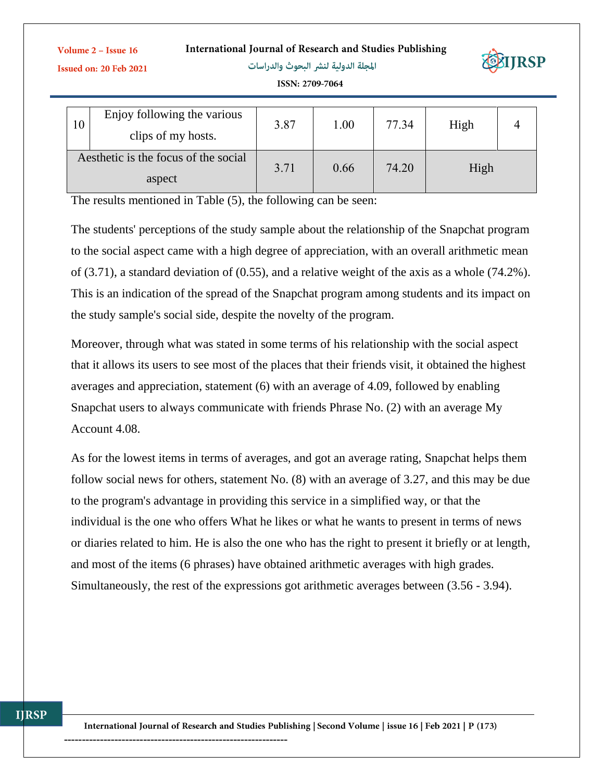#### International Journal of Research and Studies Publishing

**Issued on: 20 Feb 2021** 

Volume 2 - Issue 16

**IJRSP** 

المجلة الدولية لنشر البحوث والدراسات



ISSN: 2709-7064

| 10 | Enjoy following the various<br>clips of my hosts. | 3.87 | 1.00 | 77.34 | High |  |
|----|---------------------------------------------------|------|------|-------|------|--|
|    | Aesthetic is the focus of the social<br>aspect    | 3.71 | 0.66 | 74.20 | High |  |

The results mentioned in Table (5), the following can be seen:

The students' perceptions of the study sample about the relationship of the Snapchat program to the social aspect came with a high degree of appreciation, with an overall arithmetic mean of (3.71), a standard deviation of (0.55), and a relative weight of the axis as a whole (74.2%). This is an indication of the spread of the Snapchat program among students and its impact on the study sample's social side, despite the novelty of the program.

Moreover, through what was stated in some terms of his relationship with the social aspect that it allows its users to see most of the places that their friends visit, it obtained the highest averages and appreciation, statement (6) with an average of 4.09, followed by enabling Snapchat users to always communicate with friends Phrase No. (2) with an average My Account 4.08.

As for the lowest items in terms of averages, and got an average rating, Snapchat helps them follow social news for others, statement No. (8) with an average of 3.27, and this may be due to the program's advantage in providing this service in a simplified way, or that the individual is the one who offers What he likes or what he wants to present in terms of news or diaries related to him. He is also the one who has the right to present it briefly or at length, and most of the items (6 phrases) have obtained arithmetic averages with high grades. Simultaneously, the rest of the expressions got arithmetic averages between (3.56 - 3.94).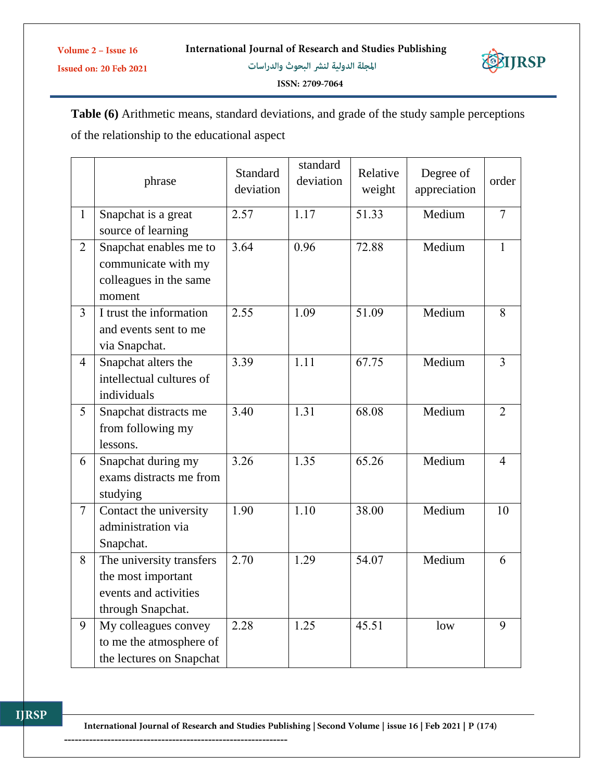المجلة الدولية لنشر البحوث والدراسات



ISSN: 2709-7064

**Table (6)** Arithmetic means, standard deviations, and grade of the study sample perceptions of the relationship to the educational aspect

|                | phrase                   | Standard<br>deviation | standard<br>deviation | Relative<br>weight | Degree of<br>appreciation | order          |
|----------------|--------------------------|-----------------------|-----------------------|--------------------|---------------------------|----------------|
| $\mathbf{1}$   | Snapchat is a great      | 2.57                  | 1.17                  | 51.33              | Medium                    | $\tau$         |
|                | source of learning       |                       |                       |                    |                           |                |
| $\overline{2}$ | Snapchat enables me to   | 3.64                  | 0.96                  | 72.88              | Medium                    | $\mathbf{1}$   |
|                | communicate with my      |                       |                       |                    |                           |                |
|                | colleagues in the same   |                       |                       |                    |                           |                |
|                | moment                   |                       |                       |                    |                           |                |
| $\overline{3}$ | I trust the information  | 2.55                  | 1.09                  | 51.09              | Medium                    | 8              |
|                | and events sent to me    |                       |                       |                    |                           |                |
|                | via Snapchat.            |                       |                       |                    |                           |                |
| $\overline{4}$ | Snapchat alters the      | 3.39                  | 1.11                  | 67.75              | Medium                    | 3              |
|                | intellectual cultures of |                       |                       |                    |                           |                |
|                | individuals              |                       |                       |                    |                           |                |
| 5              | Snapchat distracts me    | 3.40                  | 1.31                  | 68.08              | Medium                    | $\overline{2}$ |
|                | from following my        |                       |                       |                    |                           |                |
|                | lessons.                 |                       |                       |                    |                           |                |
| 6              | Snapchat during my       | 3.26                  | 1.35                  | 65.26              | Medium                    | 4              |
|                | exams distracts me from  |                       |                       |                    |                           |                |
|                | studying                 |                       |                       |                    |                           |                |
| $\tau$         | Contact the university   | 1.90                  | 1.10                  | 38.00              | Medium                    | 10             |
|                | administration via       |                       |                       |                    |                           |                |
|                | Snapchat.                |                       |                       |                    |                           |                |
| 8              | The university transfers | 2.70                  | 1.29                  | 54.07              | Medium                    | 6              |
|                | the most important       |                       |                       |                    |                           |                |
|                | events and activities    |                       |                       |                    |                           |                |
|                | through Snapchat.        |                       |                       |                    |                           |                |
| 9              | My colleagues convey     | 2.28                  | 1.25                  | 45.51              | low                       | 9              |
|                | to me the atmosphere of  |                       |                       |                    |                           |                |
|                | the lectures on Snapchat |                       |                       |                    |                           |                |

International Journal of Research and Studies Publishing | Second Volume | issue 16 | Feb 2021 | P (174)

--------------------------------------------------------------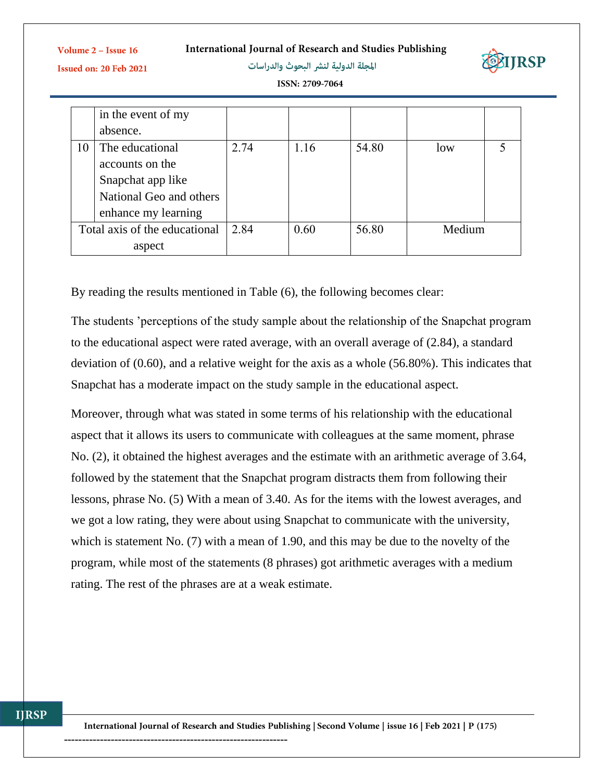International Journal of Research and Studies Publishing



Issued on: 20 Feb 2021

المجلة الدولية لنشر البحوث والدراسات



ISSN: 2709-7064

|    | in the event of my            |      |      |       |        |  |
|----|-------------------------------|------|------|-------|--------|--|
|    | absence.                      |      |      |       |        |  |
| 10 | The educational               | 2.74 | 1.16 | 54.80 | low    |  |
|    | accounts on the               |      |      |       |        |  |
|    | Snapchat app like             |      |      |       |        |  |
|    | National Geo and others       |      |      |       |        |  |
|    | enhance my learning           |      |      |       |        |  |
|    | Total axis of the educational | 2.84 | 0.60 | 56.80 | Medium |  |
|    | aspect                        |      |      |       |        |  |

By reading the results mentioned in Table (6), the following becomes clear:

The students 'perceptions of the study sample about the relationship of the Snapchat program to the educational aspect were rated average, with an overall average of (2.84), a standard deviation of (0.60), and a relative weight for the axis as a whole (56.80%). This indicates that Snapchat has a moderate impact on the study sample in the educational aspect.

Moreover, through what was stated in some terms of his relationship with the educational aspect that it allows its users to communicate with colleagues at the same moment, phrase No. (2), it obtained the highest averages and the estimate with an arithmetic average of 3.64, followed by the statement that the Snapchat program distracts them from following their lessons, phrase No. (5) With a mean of 3.40. As for the items with the lowest averages, and we got a low rating, they were about using Snapchat to communicate with the university, which is statement No. (7) with a mean of 1.90, and this may be due to the novelty of the program, while most of the statements (8 phrases) got arithmetic averages with a medium rating. The rest of the phrases are at a weak estimate.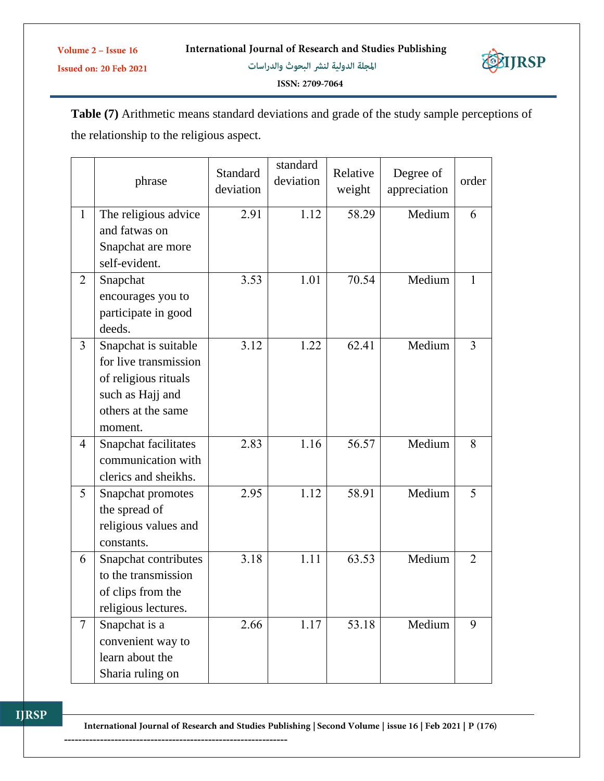المجلة الدولية لنشر البحوث والدراسات



ISSN: 2709-7064

**Table (7)** Arithmetic means standard deviations and grade of the study sample perceptions of the relationship to the religious aspect.

| Degree of<br>order<br>appreciation |
|------------------------------------|
| Medium<br>6                        |
|                                    |
|                                    |
|                                    |
| Medium<br>$\mathbf{1}$             |
|                                    |
|                                    |
|                                    |
| 3<br>Medium                        |
|                                    |
|                                    |
|                                    |
|                                    |
|                                    |
| Medium<br>8                        |
|                                    |
| Medium<br>5                        |
|                                    |
|                                    |
|                                    |
| Medium<br>$\overline{2}$           |
|                                    |
|                                    |
|                                    |
| Medium<br>9                        |
|                                    |
|                                    |
|                                    |
|                                    |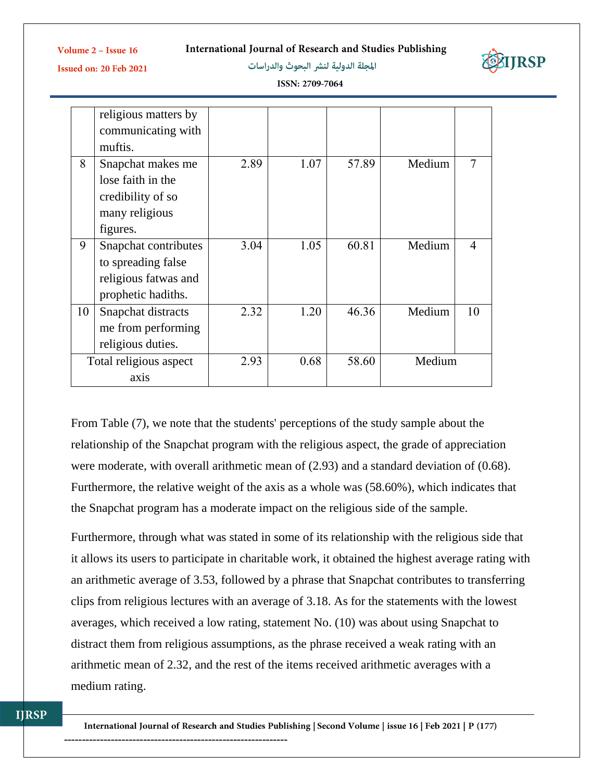**International Journal of Research and Studies Publishing** 



Issued on: 20 Feb 2021

المجلة الدولية لنشر البحوث والدراسات



ISSN: 2709-7064

|    | religious matters by<br>communicating with<br>muftis.                                     |      |      |       |        |                |
|----|-------------------------------------------------------------------------------------------|------|------|-------|--------|----------------|
| 8  | Snapchat makes me<br>lose faith in the<br>credibility of so<br>many religious<br>figures. | 2.89 | 1.07 | 57.89 | Medium | $\overline{7}$ |
| 9  | Snapchat contributes<br>to spreading false<br>religious fatwas and<br>prophetic hadiths.  | 3.04 | 1.05 | 60.81 | Medium | $\overline{4}$ |
| 10 | Snapchat distracts<br>me from performing<br>religious duties.                             | 2.32 | 1.20 | 46.36 | Medium | 10             |
|    | Total religious aspect<br>axis                                                            | 2.93 | 0.68 | 58.60 | Medium |                |

From Table (7), we note that the students' perceptions of the study sample about the relationship of the Snapchat program with the religious aspect, the grade of appreciation were moderate, with overall arithmetic mean of (2.93) and a standard deviation of (0.68). Furthermore, the relative weight of the axis as a whole was (58.60%), which indicates that the Snapchat program has a moderate impact on the religious side of the sample.

Furthermore, through what was stated in some of its relationship with the religious side that it allows its users to participate in charitable work, it obtained the highest average rating with an arithmetic average of 3.53, followed by a phrase that Snapchat contributes to transferring clips from religious lectures with an average of 3.18. As for the statements with the lowest averages, which received a low rating, statement No. (10) was about using Snapchat to distract them from religious assumptions, as the phrase received a weak rating with an arithmetic mean of 2.32, and the rest of the items received arithmetic averages with a medium rating.

International Journal of Research and Studies Publishing | Second Volume | issue 16 | Feb 2021 | P (177) --------------------------------------------------------------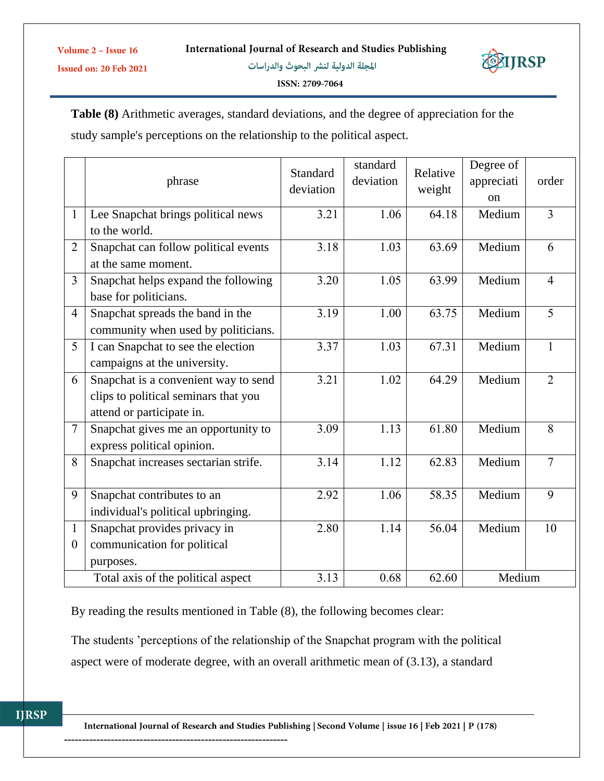المجلة الدولية لنشر البحوث والدراسات ISSN: 2709-7064



**Table (8)** Arithmetic averages, standard deviations, and the degree of appreciation for the study sample's perceptions on the relationship to the political aspect.

|                                  | phrase                                                                                                    | Standard<br>deviation | standard<br>deviation | Relative<br>weight | Degree of<br>appreciati<br>on | order          |
|----------------------------------|-----------------------------------------------------------------------------------------------------------|-----------------------|-----------------------|--------------------|-------------------------------|----------------|
| $\mathbf{1}$                     | Lee Snapchat brings political news<br>to the world.                                                       | 3.21                  | 1.06                  | 64.18              | Medium                        | 3              |
| $\overline{2}$                   | Snapchat can follow political events<br>at the same moment.                                               | 3.18                  | 1.03                  | 63.69              | Medium                        | 6              |
| 3                                | Snapchat helps expand the following<br>base for politicians.                                              | 3.20                  | 1.05                  | 63.99              | Medium                        | $\overline{4}$ |
| $\overline{4}$                   | Snapchat spreads the band in the<br>community when used by politicians.                                   | 3.19                  | 1.00                  | 63.75              | Medium                        | 5              |
| 5                                | I can Snapchat to see the election<br>campaigns at the university.                                        | 3.37                  | 1.03                  | 67.31              | Medium                        | 1              |
| 6                                | Snapchat is a convenient way to send<br>clips to political seminars that you<br>attend or participate in. | 3.21                  | 1.02                  | 64.29              | Medium                        | $\overline{2}$ |
| $\overline{7}$                   | Snapchat gives me an opportunity to<br>express political opinion.                                         | 3.09                  | 1.13                  | 61.80              | Medium                        | 8              |
| 8                                | Snapchat increases sectarian strife.                                                                      | 3.14                  | 1.12                  | 62.83              | Medium                        | $\tau$         |
| 9                                | Snapchat contributes to an<br>individual's political upbringing.                                          | 2.92                  | 1.06                  | 58.35              | Medium                        | 9              |
| $\mathbf{1}$<br>$\boldsymbol{0}$ | Snapchat provides privacy in<br>communication for political<br>purposes.                                  | 2.80                  | 1.14                  | 56.04              | Medium                        | 10             |
|                                  | Total axis of the political aspect                                                                        | 3.13                  | 0.68                  | 62.60              | Medium                        |                |

By reading the results mentioned in Table (8), the following becomes clear:

The students 'perceptions of the relationship of the Snapchat program with the political aspect were of moderate degree, with an overall arithmetic mean of (3.13), a standard

International Journal of Research and Studies Publishing | Second Volume | issue 16 | Feb 2021 | P (178) --------------------------------------------------------------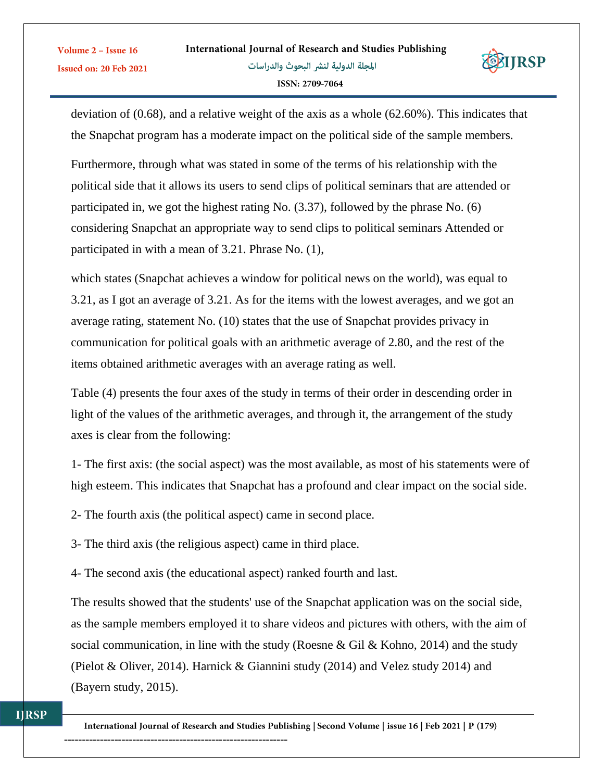

deviation of (0.68), and a relative weight of the axis as a whole (62.60%). This indicates that the Snapchat program has a moderate impact on the political side of the sample members.

Furthermore, through what was stated in some of the terms of his relationship with the political side that it allows its users to send clips of political seminars that are attended or participated in, we got the highest rating No. (3.37), followed by the phrase No. (6) considering Snapchat an appropriate way to send clips to political seminars Attended or participated in with a mean of 3.21. Phrase No. (1),

which states (Snapchat achieves a window for political news on the world), was equal to 3.21, as I got an average of 3.21. As for the items with the lowest averages, and we got an average rating, statement No. (10) states that the use of Snapchat provides privacy in communication for political goals with an arithmetic average of 2.80, and the rest of the items obtained arithmetic averages with an average rating as well.

Table (4) presents the four axes of the study in terms of their order in descending order in light of the values of the arithmetic averages, and through it, the arrangement of the study axes is clear from the following:

1- The first axis: (the social aspect) was the most available, as most of his statements were of high esteem. This indicates that Snapchat has a profound and clear impact on the social side.

2- The fourth axis (the political aspect) came in second place.

3- The third axis (the religious aspect) came in third place.

4- The second axis (the educational aspect) ranked fourth and last.

The results showed that the students' use of the Snapchat application was on the social side, as the sample members employed it to share videos and pictures with others, with the aim of social communication, in line with the study (Roesne & Gil & Kohno, 2014) and the study (Pielot & Oliver, 2014). Harnick & Giannini study (2014) and Velez study 2014) and (Bayern study, 2015).

Volume 2 - Issue 16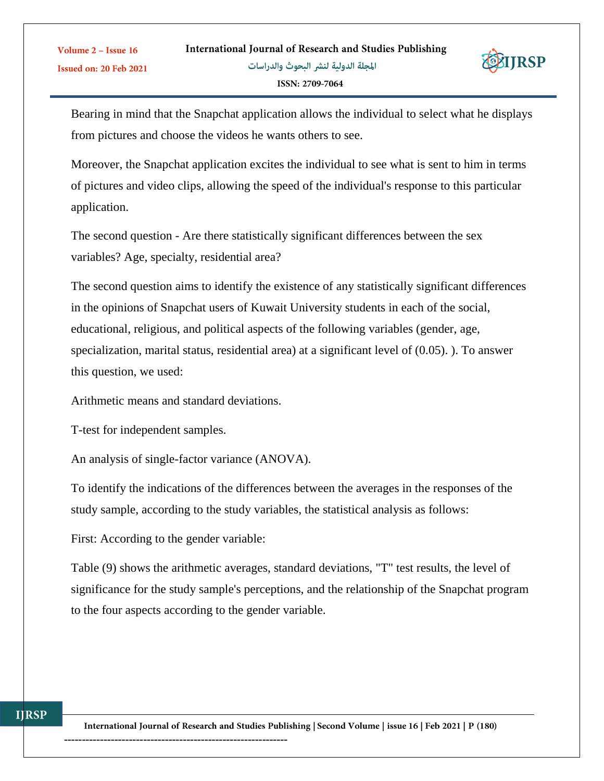

Bearing in mind that the Snapchat application allows the individual to select what he displays from pictures and choose the videos he wants others to see.

Moreover, the Snapchat application excites the individual to see what is sent to him in terms of pictures and video clips, allowing the speed of the individual's response to this particular application.

The second question - Are there statistically significant differences between the sex variables? Age, specialty, residential area?

The second question aims to identify the existence of any statistically significant differences in the opinions of Snapchat users of Kuwait University students in each of the social, educational, religious, and political aspects of the following variables (gender, age, specialization, marital status, residential area) at a significant level of (0.05). ). To answer this question, we used:

Arithmetic means and standard deviations.

T-test for independent samples.

Volume 2 - Issue 16

**Issued on: 20 Feb 2021** 

An analysis of single-factor variance (ANOVA).

To identify the indications of the differences between the averages in the responses of the study sample, according to the study variables, the statistical analysis as follows:

First: According to the gender variable:

Table (9) shows the arithmetic averages, standard deviations, "T" test results, the level of significance for the study sample's perceptions, and the relationship of the Snapchat program to the four aspects according to the gender variable.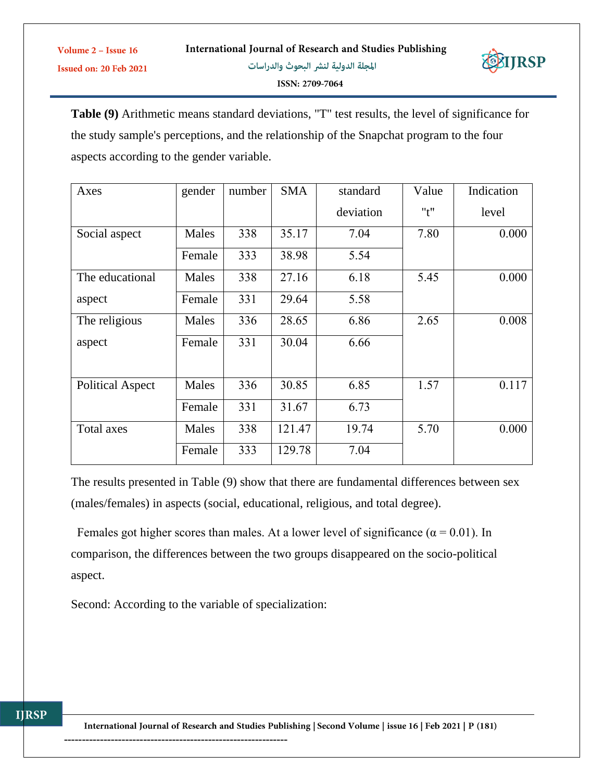

**Table (9)** Arithmetic means standard deviations, "T" test results, the level of significance for the study sample's perceptions, and the relationship of the Snapchat program to the four aspects according to the gender variable.

| Axes                    | gender | number | <b>SMA</b> | standard  | Value | Indication |
|-------------------------|--------|--------|------------|-----------|-------|------------|
|                         |        |        |            | deviation | "t"   | level      |
| Social aspect           | Males  | 338    | 35.17      | 7.04      | 7.80  | 0.000      |
|                         | Female | 333    | 38.98      | 5.54      |       |            |
| The educational         | Males  | 338    | 27.16      | 6.18      | 5.45  | 0.000      |
| aspect                  | Female | 331    | 29.64      | 5.58      |       |            |
| The religious           | Males  | 336    | 28.65      | 6.86      | 2.65  | 0.008      |
| aspect                  | Female | 331    | 30.04      | 6.66      |       |            |
|                         |        |        |            |           |       |            |
| <b>Political Aspect</b> | Males  | 336    | 30.85      | 6.85      | 1.57  | 0.117      |
|                         | Female | 331    | 31.67      | 6.73      |       |            |
| Total axes              | Males  | 338    | 121.47     | 19.74     | 5.70  | 0.000      |
|                         | Female | 333    | 129.78     | 7.04      |       |            |

The results presented in Table (9) show that there are fundamental differences between sex (males/females) in aspects (social, educational, religious, and total degree).

Females got higher scores than males. At a lower level of significance ( $\alpha$  = 0.01). In comparison, the differences between the two groups disappeared on the socio-political aspect.

Second: According to the variable of specialization: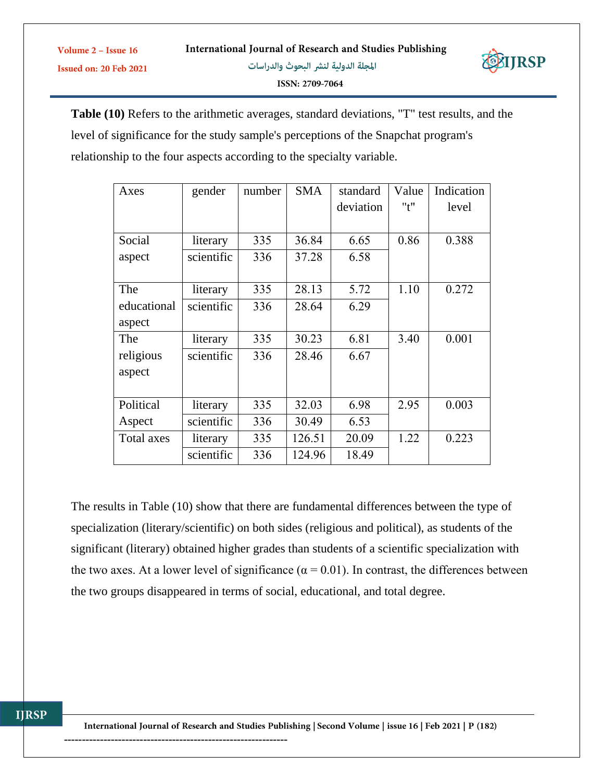**Table (10)** Refers to the arithmetic averages, standard deviations, "T" test results, and the level of significance for the study sample's perceptions of the Snapchat program's relationship to the four aspects according to the specialty variable.

| Axes        | gender     | number | <b>SMA</b> | standard  | Value | Indication |
|-------------|------------|--------|------------|-----------|-------|------------|
|             |            |        |            | deviation | "t"   | level      |
|             |            |        |            |           |       |            |
| Social      | literary   | 335    | 36.84      | 6.65      | 0.86  | 0.388      |
| aspect      | scientific | 336    | 37.28      | 6.58      |       |            |
|             |            |        |            |           |       |            |
| The         | literary   | 335    | 28.13      | 5.72      | 1.10  | 0.272      |
| educational | scientific | 336    | 28.64      | 6.29      |       |            |
| aspect      |            |        |            |           |       |            |
| The         | literary   | 335    | 30.23      | 6.81      | 3.40  | 0.001      |
| religious   | scientific | 336    | 28.46      | 6.67      |       |            |
| aspect      |            |        |            |           |       |            |
|             |            |        |            |           |       |            |
| Political   | literary   | 335    | 32.03      | 6.98      | 2.95  | 0.003      |
| Aspect      | scientific | 336    | 30.49      | 6.53      |       |            |
| Total axes  | literary   | 335    | 126.51     | 20.09     | 1.22  | 0.223      |
|             | scientific | 336    | 124.96     | 18.49     |       |            |

The results in Table (10) show that there are fundamental differences between the type of specialization (literary/scientific) on both sides (religious and political), as students of the significant (literary) obtained higher grades than students of a scientific specialization with the two axes. At a lower level of significance ( $\alpha$  = 0.01). In contrast, the differences between the two groups disappeared in terms of social, educational, and total degree.

Volume 2 - Issue 16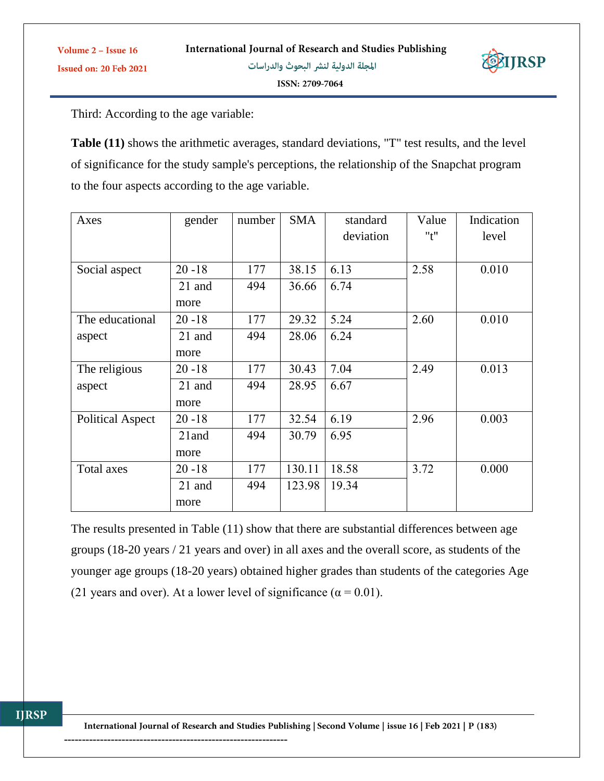

Third: According to the age variable:

Volume 2 - Issue 16

Issued on: 20 Feb 2021

**Table (11)** shows the arithmetic averages, standard deviations, "T" test results, and the level of significance for the study sample's perceptions, the relationship of the Snapchat program to the four aspects according to the age variable.

| Axes                    | gender    | number | <b>SMA</b> | standard  | Value | Indication |
|-------------------------|-----------|--------|------------|-----------|-------|------------|
|                         |           |        |            | deviation | "t"   | level      |
|                         |           |        |            |           |       |            |
| Social aspect           | $20 - 18$ | 177    | 38.15      | 6.13      | 2.58  | 0.010      |
|                         | 21 and    | 494    | 36.66      | 6.74      |       |            |
|                         | more      |        |            |           |       |            |
| The educational         | $20 - 18$ | 177    | 29.32      | 5.24      | 2.60  | 0.010      |
| aspect                  | 21 and    | 494    | 28.06      | 6.24      |       |            |
|                         | more      |        |            |           |       |            |
| The religious           | $20 - 18$ | 177    | 30.43      | 7.04      | 2.49  | 0.013      |
| aspect                  | 21 and    | 494    | 28.95      | 6.67      |       |            |
|                         | more      |        |            |           |       |            |
| <b>Political Aspect</b> | $20 - 18$ | 177    | 32.54      | 6.19      | 2.96  | 0.003      |
|                         | $21$ and  | 494    | 30.79      | 6.95      |       |            |
|                         | more      |        |            |           |       |            |
| Total axes              | $20 - 18$ | 177    | 130.11     | 18.58     | 3.72  | 0.000      |
|                         | 21 and    | 494    | 123.98     | 19.34     |       |            |
|                         | more      |        |            |           |       |            |

The results presented in Table (11) show that there are substantial differences between age groups (18-20 years / 21 years and over) in all axes and the overall score, as students of the younger age groups (18-20 years) obtained higher grades than students of the categories Age (21 years and over). At a lower level of significance ( $\alpha$  = 0.01).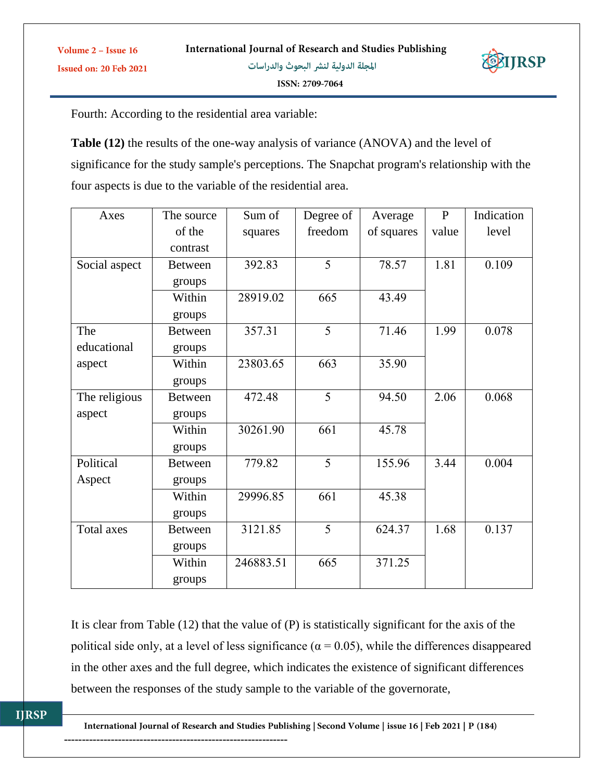

Fourth: According to the residential area variable:

**Table (12)** the results of the one-way analysis of variance (ANOVA) and the level of significance for the study sample's perceptions. The Snapchat program's relationship with the four aspects is due to the variable of the residential area.

| Axes          | The source     | Sum of    | Degree of | Average    | $\mathbf{P}$ | Indication |
|---------------|----------------|-----------|-----------|------------|--------------|------------|
|               | of the         | squares   | freedom   | of squares | value        | level      |
|               | contrast       |           |           |            |              |            |
| Social aspect | <b>Between</b> | 392.83    | 5         | 78.57      | 1.81         | 0.109      |
|               | groups         |           |           |            |              |            |
|               | Within         | 28919.02  | 665       | 43.49      |              |            |
|               | groups         |           |           |            |              |            |
| The           | <b>Between</b> | 357.31    | 5         | 71.46      | 1.99         | 0.078      |
| educational   | groups         |           |           |            |              |            |
| aspect        | Within         | 23803.65  | 663       | 35.90      |              |            |
|               | groups         |           |           |            |              |            |
| The religious | <b>Between</b> | 472.48    | 5         | 94.50      | 2.06         | 0.068      |
| aspect        | groups         |           |           |            |              |            |
|               | Within         | 30261.90  | 661       | 45.78      |              |            |
|               | groups         |           |           |            |              |            |
| Political     | <b>Between</b> | 779.82    | 5         | 155.96     | 3.44         | 0.004      |
| Aspect        | groups         |           |           |            |              |            |
|               | Within         | 29996.85  | 661       | 45.38      |              |            |
|               | groups         |           |           |            |              |            |
| Total axes    | <b>Between</b> | 3121.85   | 5         | 624.37     | 1.68         | 0.137      |
|               | groups         |           |           |            |              |            |
|               | Within         | 246883.51 | 665       | 371.25     |              |            |
|               | groups         |           |           |            |              |            |

It is clear from Table (12) that the value of (P) is statistically significant for the axis of the political side only, at a level of less significance ( $\alpha$  = 0.05), while the differences disappeared in the other axes and the full degree, which indicates the existence of significant differences between the responses of the study sample to the variable of the governorate,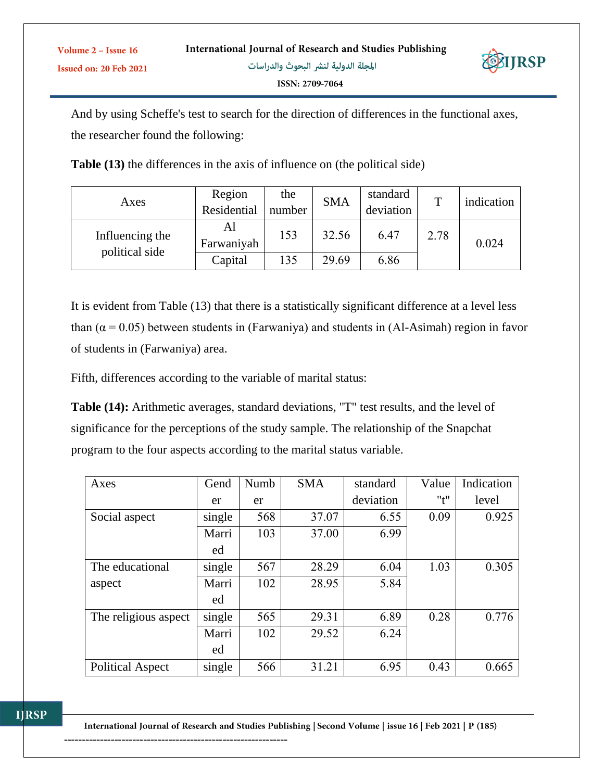

And by using Scheffe's test to search for the direction of differences in the functional axes, the researcher found the following:

**Table (13)** the differences in the axis of influence on (the political side)

Volume 2 - Issue 16

Issued on: 20 Feb 2021

| Axes                              | Region<br>Residential | the<br>number | <b>SMA</b> | standard<br>deviation | m    | indication |
|-----------------------------------|-----------------------|---------------|------------|-----------------------|------|------------|
| Influencing the<br>political side | Al<br>Farwaniyah      | 153           | 32.56      | 6.47                  | 2.78 | 0.024      |
|                                   | Capital               | 135           | 29.69      | 6.86                  |      |            |

It is evident from Table (13) that there is a statistically significant difference at a level less than ( $\alpha$  = 0.05) between students in (Farwaniya) and students in (Al-Asimah) region in favor of students in (Farwaniya) area.

Fifth, differences according to the variable of marital status:

**Table (14):** Arithmetic averages, standard deviations, "T" test results, and the level of significance for the perceptions of the study sample. The relationship of the Snapchat program to the four aspects according to the marital status variable.

| Axes                    | Gend   | Numb | <b>SMA</b> | standard  | Value | Indication |
|-------------------------|--------|------|------------|-----------|-------|------------|
|                         | er     | er   |            | deviation | "t"   | level      |
| Social aspect           | single | 568  | 37.07      | 6.55      | 0.09  | 0.925      |
|                         | Marri  | 103  | 37.00      | 6.99      |       |            |
|                         | ed     |      |            |           |       |            |
| The educational         | single | 567  | 28.29      | 6.04      | 1.03  | 0.305      |
| aspect                  | Marri  | 102  | 28.95      | 5.84      |       |            |
|                         | ed     |      |            |           |       |            |
| The religious aspect    | single | 565  | 29.31      | 6.89      | 0.28  | 0.776      |
|                         | Marri  | 102  | 29.52      | 6.24      |       |            |
|                         | ed     |      |            |           |       |            |
| <b>Political Aspect</b> | single | 566  | 31.21      | 6.95      | 0.43  | 0.665      |

--------------------------------------------------------------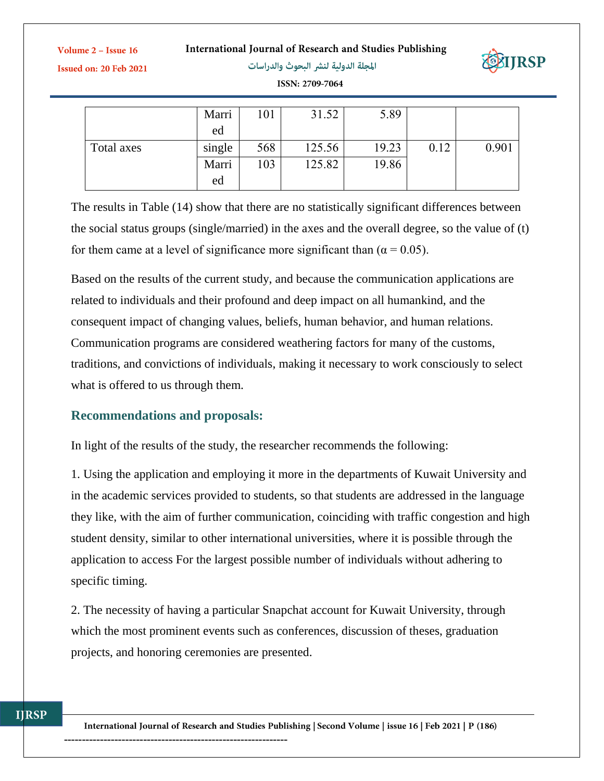International Journal of Research and Studies Publishing

Volume 2 - Issue 16

**Issued on: 20 Feb 2021** 

المجلة الدولية لنشر البحوث والدراسات



ISSN: 2709-7064

|            | Marri  | 101 | 31.52  | 5.89  |      |       |
|------------|--------|-----|--------|-------|------|-------|
|            | ed     |     |        |       |      |       |
| Total axes | single | 568 | 125.56 | 19.23 | 0.12 | 0.901 |
|            | Marri  | 103 | 125.82 | 19.86 |      |       |
|            | ed     |     |        |       |      |       |

The results in Table (14) show that there are no statistically significant differences between the social status groups (single/married) in the axes and the overall degree, so the value of (t) for them came at a level of significance more significant than ( $\alpha$  = 0.05).

Based on the results of the current study, and because the communication applications are related to individuals and their profound and deep impact on all humankind, and the consequent impact of changing values, beliefs, human behavior, and human relations. Communication programs are considered weathering factors for many of the customs, traditions, and convictions of individuals, making it necessary to work consciously to select what is offered to us through them.

# **Recommendations and proposals:**

In light of the results of the study, the researcher recommends the following:

1. Using the application and employing it more in the departments of Kuwait University and in the academic services provided to students, so that students are addressed in the language they like, with the aim of further communication, coinciding with traffic congestion and high student density, similar to other international universities, where it is possible through the application to access For the largest possible number of individuals without adhering to specific timing.

2. The necessity of having a particular Snapchat account for Kuwait University, through which the most prominent events such as conferences, discussion of theses, graduation projects, and honoring ceremonies are presented.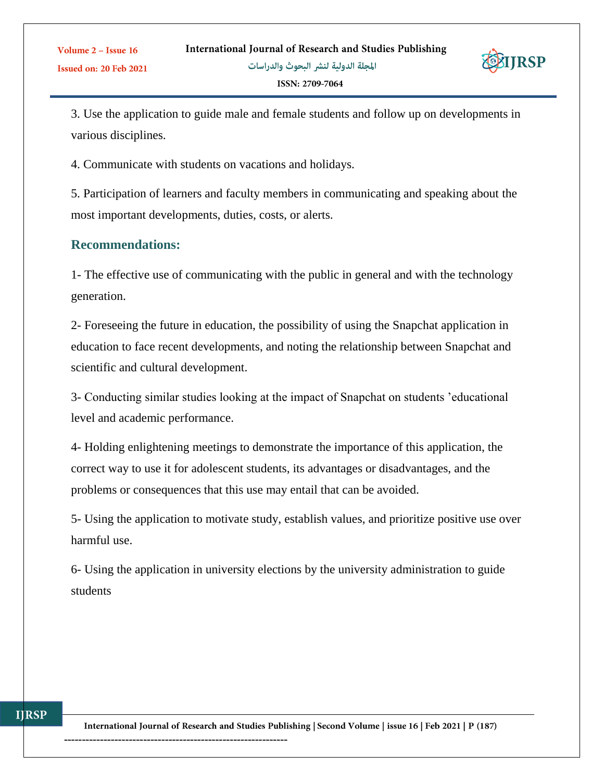المجلة الدولية لنشر البحوث والدراسات ISSN: 2709-7064



3. Use the application to guide male and female students and follow up on developments in various disciplines.

4. Communicate with students on vacations and holidays.

5. Participation of learners and faculty members in communicating and speaking about the most important developments, duties, costs, or alerts.

# **Recommendations:**

**IJRSP** 

1- The effective use of communicating with the public in general and with the technology generation.

2- Foreseeing the future in education, the possibility of using the Snapchat application in education to face recent developments, and noting the relationship between Snapchat and scientific and cultural development.

3- Conducting similar studies looking at the impact of Snapchat on students 'educational level and academic performance.

4- Holding enlightening meetings to demonstrate the importance of this application, the correct way to use it for adolescent students, its advantages or disadvantages, and the problems or consequences that this use may entail that can be avoided.

5- Using the application to motivate study, establish values, and prioritize positive use over harmful use.

6- Using the application in university elections by the university administration to guide students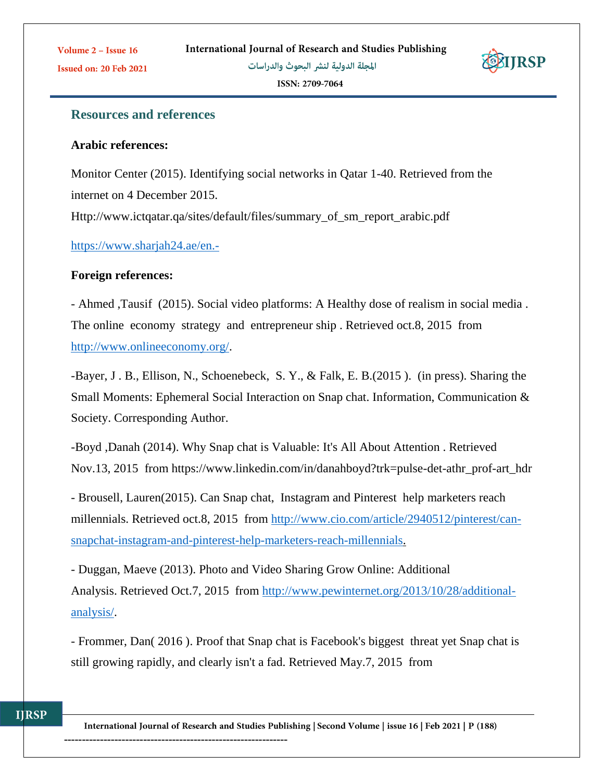

## **Arabic references:**

Volume 2 - Issue 16

**Issued on: 20 Feb 2021** 

Monitor Center (2015). Identifying social networks in Qatar 1-40. Retrieved from the internet on 4 December 2015.

Http://www.ictqatar.qa/sites/default/files/summary\_of\_sm\_report\_arabic.pdf

## <https://www.sharjah24.ae/en.->

## **Foreign references:**

- Ahmed ,Tausif (2015). Social video platforms: A Healthy dose of realism in social media . The online economy strategy and entrepreneur ship . Retrieved oct.8, 2015 from [http://www.onlineeconomy.org/.](http://www.onlineeconomy.org/)

-Bayer, J . B., Ellison, N., Schoenebeck, S. Y., & Falk, E. B.(2015 ). (in press). Sharing the Small Moments: Ephemeral Social Interaction on Snap chat. Information, Communication & Society. Corresponding Author.

-Boyd ,Danah (2014). Why Snap chat is Valuable: It's All About Attention . Retrieved Nov.13, 2015 from https://www.linkedin.com/in/danahboyd?trk=pulse-det-athr\_prof-art\_hdr

- Brousell, Lauren(2015). Can Snap chat, Instagram and Pinterest help marketers reach millennials. Retrieved oct.8, 2015 from [http://www.cio.com/article/2940512/pinterest/can](http://www.cio.com/article/2940512/pinterest/can-snapchat-instagram-and-pinterest-help-marketers-reach-millennials)[snapchat-instagram-and-pinterest-help-marketers-reach-millennials.](http://www.cio.com/article/2940512/pinterest/can-snapchat-instagram-and-pinterest-help-marketers-reach-millennials)

- Duggan, Maeve (2013). Photo and Video Sharing Grow Online: Additional Analysis. Retrieved Oct.7, 2015 from [http://www.pewinternet.org/2013/10/28/additional](http://www.pewinternet.org/2013/10/28/additional-analysis/)[analysis/.](http://www.pewinternet.org/2013/10/28/additional-analysis/)

- Frommer, Dan( 2016 ). Proof that Snap chat is Facebook's biggest threat yet Snap chat is still growing rapidly, and clearly isn't a fad. Retrieved May.7, 2015 from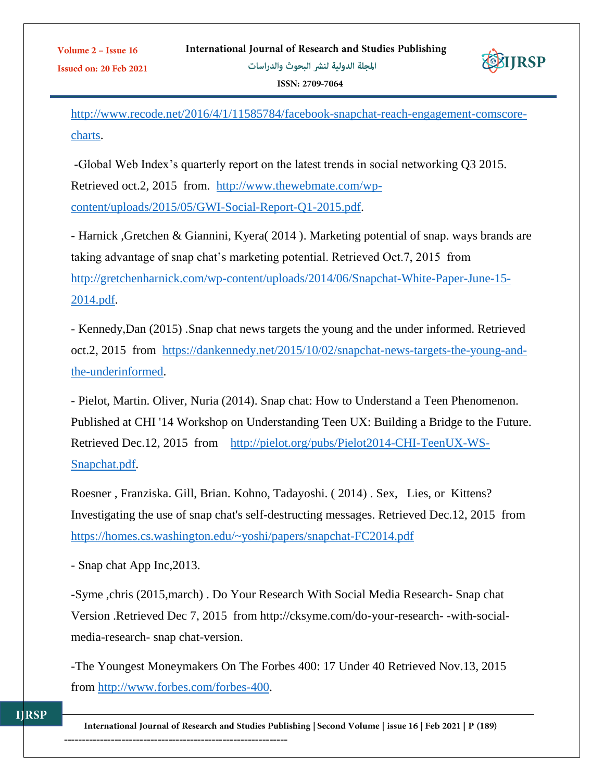

ISSN: 2709-7064

Volume 2 - Issue 16

**Issued on: 20 Feb 2021** 

[http://www.recode.net/2016/4/1/11585784/facebook-snapchat-reach-engagement-comscore](http://www.recode.net/2016/4/1/11585784/facebook-snapchat-reach-engagement-comscore-charts)[charts.](http://www.recode.net/2016/4/1/11585784/facebook-snapchat-reach-engagement-comscore-charts)

-Global Web Index's quarterly report on the latest trends in social networking Q3 2015. Retrieved oct.2, 2015 from. [http://www.thewebmate.com/wp](http://www.thewebmate.com/wp-content/uploads/2015/05/GWI-Social-Report-Q1-2015.pdf)[content/uploads/2015/05/GWI-Social-Report-Q1-2015.pdf.](http://www.thewebmate.com/wp-content/uploads/2015/05/GWI-Social-Report-Q1-2015.pdf)

- Harnick ,Gretchen & Giannini, Kyera( 2014 ). Marketing potential of snap. ways brands are taking advantage of snap chat's marketing potential. Retrieved Oct.7, 2015 from [http://gretchenharnick.com/wp-content/uploads/2014/06/Snapchat-White-Paper-June-15-](http://gretchenharnick.com/wp-content/uploads/2014/06/Snapchat-White-Paper-June-15-2014.pdf) [2014.pdf.](http://gretchenharnick.com/wp-content/uploads/2014/06/Snapchat-White-Paper-June-15-2014.pdf)

- Kennedy,Dan (2015) .Snap chat news targets the young and the under informed. Retrieved oct.2, 2015 from [https://dankennedy.net/2015/10/02/snapchat-news-targets-the-young-and](https://dankennedy.net/2015/10/02/snapchat-news-targets-the-young-and-the-underinformed)[the-underinformed.](https://dankennedy.net/2015/10/02/snapchat-news-targets-the-young-and-the-underinformed)

- Pielot, Martin. Oliver, Nuria (2014). Snap chat: How to Understand a Teen Phenomenon. Published at CHI '14 Workshop on Understanding Teen UX: Building a Bridge to the Future. Retrieved Dec.12, 2015 from [http://pielot.org/pubs/Pielot2014-CHI-TeenUX-WS-](http://pielot.org/pubs/Pielot2014-CHI-TeenUX-WS-Snapchat.pdf)[Snapchat.pdf.](http://pielot.org/pubs/Pielot2014-CHI-TeenUX-WS-Snapchat.pdf)

Roesner, Franziska. Gill, Brian. Kohno, Tadayoshi. (2014). Sex, Lies, or Kittens? Investigating the use of snap chat's self-destructing messages. Retrieved Dec.12, 2015 from <https://homes.cs.washington.edu/~yoshi/papers/snapchat-FC2014.pdf>

- Snap chat App Inc,2013.

-Syme ,chris (2015,march) . Do Your Research With Social Media Research- Snap chat Version .Retrieved Dec 7, 2015 from http://cksyme.com/do-your-research- -with-socialmedia-research- snap chat-version.

-The Youngest Moneymakers On The Forbes 400: 17 Under 40 Retrieved Nov.13, 2015 from [http://www.forbes.com/forbes-400.](http://www.forbes.com/forbes-400)

International Journal of Research and Studies Publishing | Second Volume | issue 16 | Feb 2021 | P (189) --------------------------------------------------------------